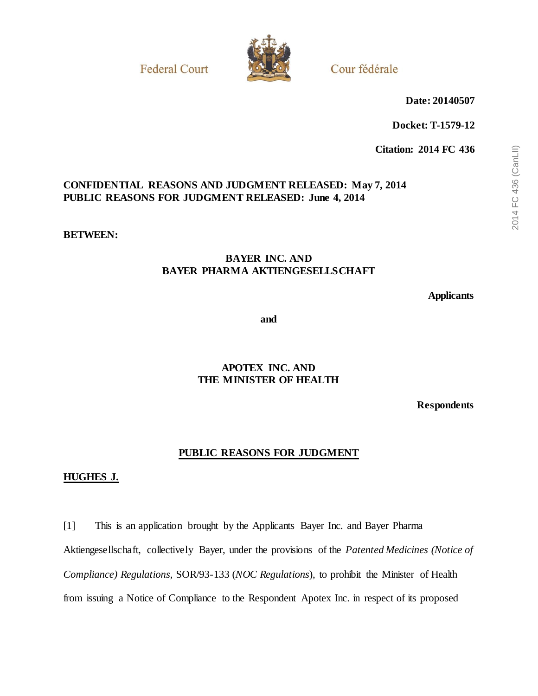**Federal Court** 



Cour fédérale

**Date: 20140507**

**Docket: T-1579-12**

**Citation: 2014 FC 436**

# **CONFIDENTIAL REASONS AND JUDGMENT RELEASED: May 7, 2014 PUBLIC REASONS FOR JUDGMENT RELEASED: June 4, 2014**

**BETWEEN:**

# **BAYER INC. AND BAYER PHARMA AKTIENGESELLSCHAFT**

**Applicants**

**and**

# **APOTEX INC. AND THE MINISTER OF HEALTH**

**Respondents**

# **PUBLIC REASONS FOR JUDGMENT**

## **HUGHES J.**

[1] This is an application brought by the Applicants Bayer Inc. and Bayer Pharma Aktiengesellschaft, collectively Bayer, under the provisions of the *Patented Medicines (Notice of Compliance) Regulations*, SOR/93-133 (*NOC Regulations*), to prohibit the Minister of Health from issuing a Notice of Compliance to the Respondent Apotex Inc. in respect of its proposed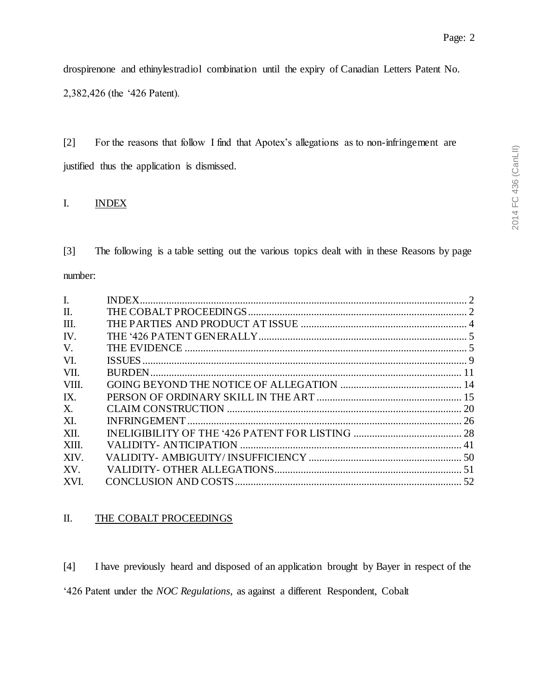drospirenone and ethinylestradiol combination until the expiry of Canadian Letters Patent No.

2,382,426 (the '426 Patent).

[2] For the reasons that follow I find that Apotex's allegations as to non-infringement are justified thus the application is dismissed.

# <span id="page-1-0"></span>I. INDEX

[3] The following is a table setting out the various topics dealt with in these Reasons by page number:

| $\mathbf{I}$ . |  |
|----------------|--|
| $\Pi$ .        |  |
| III.           |  |
| IV.            |  |
| V.             |  |
| VI.            |  |
| VII.           |  |
| VIII.          |  |
| IX.            |  |
| X.             |  |
| XI.            |  |
| XII.           |  |
| XIII.          |  |
| XIV.           |  |
| XV.            |  |
| XVI.           |  |
|                |  |

## <span id="page-1-1"></span>II. THE COBALT PROCEEDINGS

[4] I have previously heard and disposed of an application brought by Bayer in respect of the '426 Patent under the *NOC Regulations*, as against a different Respondent, Cobalt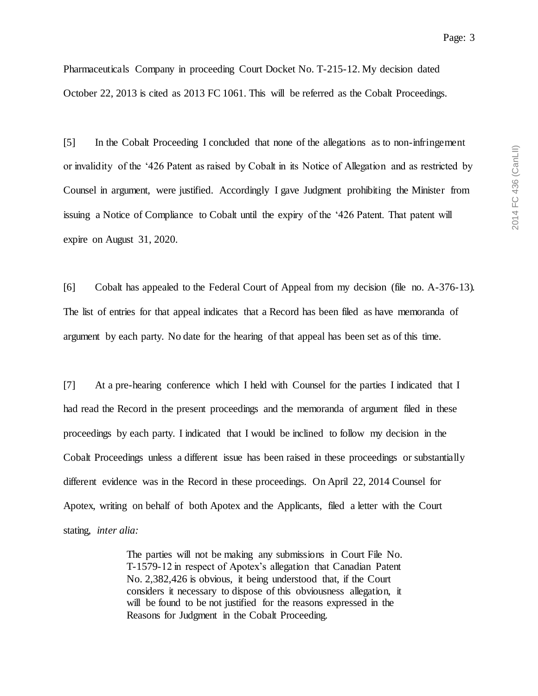Pharmaceuticals Company in proceeding Court Docket No. T-215-12. My decision dated October 22, 2013 is cited as 2013 FC 1061. This will be referred as the Cobalt Proceedings.

[5] In the Cobalt Proceeding I concluded that none of the allegations as to non-infringement or invalidity of the '426 Patent as raised by Cobalt in its Notice of Allegation and as restricted by Counsel in argument, were justified. Accordingly I gave Judgment prohibiting the Minister from issuing a Notice of Compliance to Cobalt until the expiry of the '426 Patent. That patent will expire on August 31, 2020.

[6] Cobalt has appealed to the Federal Court of Appeal from my decision (file no. A-376-13). The list of entries for that appeal indicates that a Record has been filed as have memoranda of argument by each party. No date for the hearing of that appeal has been set as of this time.

[7] At a pre-hearing conference which I held with Counsel for the parties I indicated that I had read the Record in the present proceedings and the memoranda of argument filed in these proceedings by each party. I indicated that I would be inclined to follow my decision in the Cobalt Proceedings unless a different issue has been raised in these proceedings or substantially different evidence was in the Record in these proceedings. On April 22, 2014 Counsel for Apotex, writing on behalf of both Apotex and the Applicants, filed a letter with the Court stating, *inter alia:*

> The parties will not be making any submissions in Court File No. T-1579-12 in respect of Apotex's allegation that Canadian Patent No. 2,382,426 is obvious, it being understood that, if the Court considers it necessary to dispose of this obviousness allegation, it will be found to be not justified for the reasons expressed in the Reasons for Judgment in the Cobalt Proceeding.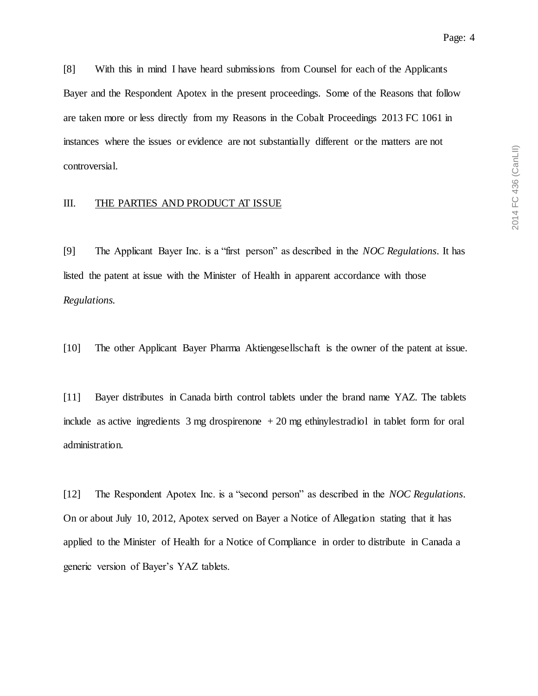[8] With this in mind I have heard submissions from Counsel for each of the Applicants Bayer and the Respondent Apotex in the present proceedings. Some of the Reasons that follow are taken more or less directly from my Reasons in the Cobalt Proceedings 2013 FC 1061 in instances where the issues or evidence are not substantially different or the matters are not controversial.

## <span id="page-3-0"></span>III. THE PARTIES AND PRODUCT AT ISSUE

[9] The Applicant Bayer Inc. is a "first person" as described in the *NOC Regulations*. It has listed the patent at issue with the Minister of Health in apparent accordance with those *Regulations.*

[10] The other Applicant Bayer Pharma Aktiengesellschaft is the owner of the patent at issue.

[11] Bayer distributes in Canada birth control tablets under the brand name YAZ. The tablets include as active ingredients 3 mg drospirenone + 20 mg ethinylestradiol in tablet form for oral administration.

[12] The Respondent Apotex Inc. is a "second person" as described in the *NOC Regulations*. On or about July 10, 2012, Apotex served on Bayer a Notice of Allegation stating that it has applied to the Minister of Health for a Notice of Compliance in order to distribute in Canada a generic version of Bayer's YAZ tablets.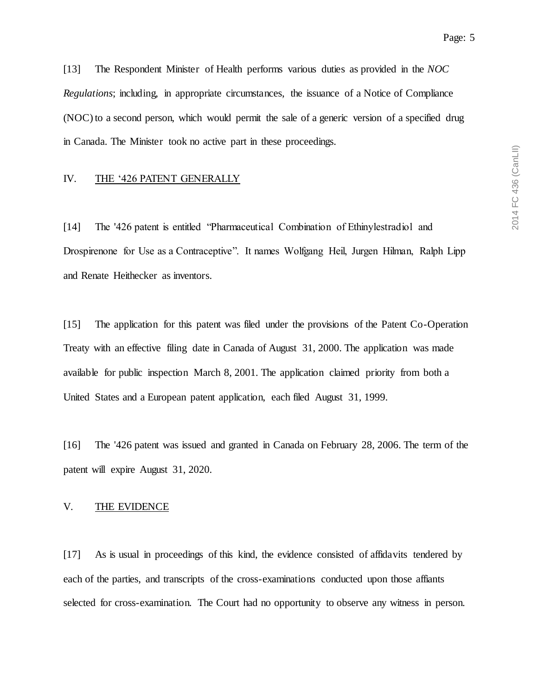2014 FC 436 (CanLII) 2014 FC 436 (CanLII)

Page: 5

[13] The Respondent Minister of Health performs various duties as provided in the *NOC Regulations*; including, in appropriate circumstances, the issuance of a Notice of Compliance (NOC) to a second person, which would permit the sale of a generic version of a specified drug in Canada. The Minister took no active part in these proceedings.

## <span id="page-4-0"></span>IV. THE '426 PATENT GENERALLY

[14] The '426 patent is entitled "Pharmaceutical Combination of Ethinylestradiol and Drospirenone for Use as a Contraceptive". It names Wolfgang Heil, Jurgen Hilman, Ralph Lipp and Renate Heithecker as inventors.

[15] The application for this patent was filed under the provisions of the Patent Co-Operation Treaty with an effective filing date in Canada of August 31, 2000. The application was made available for public inspection March 8, 2001. The application claimed priority from both a United States and a European patent application, each filed August 31, 1999.

[16] The '426 patent was issued and granted in Canada on February 28, 2006. The term of the patent will expire August 31, 2020.

## <span id="page-4-1"></span>V. THE EVIDENCE

[17] As is usual in proceedings of this kind, the evidence consisted of affidavits tendered by each of the parties, and transcripts of the cross-examinations conducted upon those affiants selected for cross-examination. The Court had no opportunity to observe any witness in person.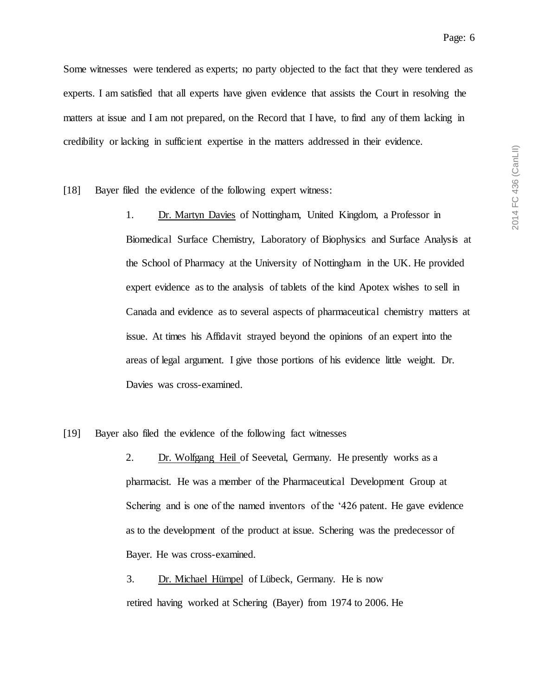Some witnesses were tendered as experts; no party objected to the fact that they were tendered as experts. I am satisfied that all experts have given evidence that assists the Court in resolving the matters at issue and I am not prepared, on the Record that I have, to find any of them lacking in credibility or lacking in sufficient expertise in the matters addressed in their evidence.

[18] Bayer filed the evidence of the following expert witness:

- 1. Dr. Martyn Davies of Nottingham, United Kingdom, a Professor in Biomedical Surface Chemistry, Laboratory of Biophysics and Surface Analysis at the School of Pharmacy at the University of Nottingham in the UK. He provided expert evidence as to the analysis of tablets of the kind Apotex wishes to sell in Canada and evidence as to several aspects of pharmaceutical chemistry matters at issue. At times his Affidavit strayed beyond the opinions of an expert into the areas of legal argument. I give those portions of his evidence little weight. Dr. Davies was cross-examined.
- [19] Bayer also filed the evidence of the following fact witnesses
	- 2. Dr. Wolfgang Heil of Seevetal, Germany. He presently works as a pharmacist. He was a member of the Pharmaceutical Development Group at Schering and is one of the named inventors of the '426 patent. He gave evidence as to the development of the product at issue. Schering was the predecessor of Bayer. He was cross-examined.
	- 3. Dr. Michael Hümpel of Lübeck, Germany. He is now retired having worked at Schering (Bayer) from 1974 to 2006. He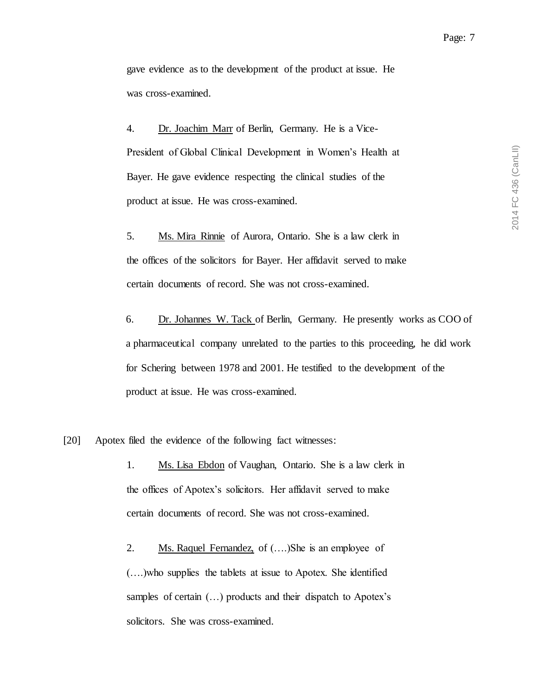gave evidence as to the development of the product at issue. He was cross-examined.

4. Dr. Joachim Marr of Berlin, Germany. He is a Vice-President of Global Clinical Development in Women's Health at Bayer. He gave evidence respecting the clinical studies of the product at issue. He was cross-examined.

5. Ms. Mira Rinnie of Aurora, Ontario. She is a law clerk in the offices of the solicitors for Bayer. Her affidavit served to make certain documents of record. She was not cross-examined.

6. Dr. Johannes W. Tack of Berlin, Germany. He presently works as COO of a pharmaceutical company unrelated to the parties to this proceeding, he did work for Schering between 1978 and 2001. He testified to the development of the product at issue. He was cross-examined.

[20] Apotex filed the evidence of the following fact witnesses:

1. Ms. Lisa Ebdon of Vaughan, Ontario. She is a law clerk in the offices of Apotex's solicitors. Her affidavit served to make certain documents of record. She was not cross-examined.

2. Ms. Raquel Fernandez, of (….)She is an employee of (….)who supplies the tablets at issue to Apotex. She identified samples of certain (…) products and their dispatch to Apotex's solicitors. She was cross-examined.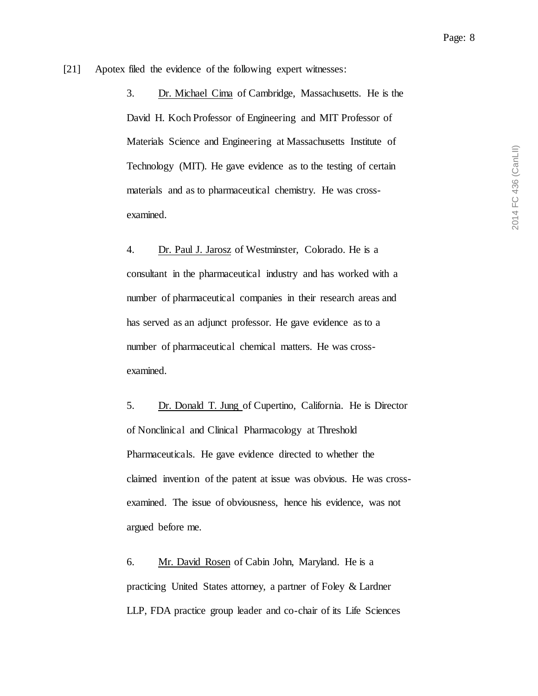[21] Apotex filed the evidence of the following expert witnesses:

3. Dr. Michael Cima of Cambridge, Massachusetts. He is the David H. Koch Professor of Engineering and MIT Professor of Materials Science and Engineering at Massachusetts Institute of Technology (MIT). He gave evidence as to the testing of certain materials and as to pharmaceutical chemistry. He was crossexamined.

4. Dr. Paul J. Jarosz of Westminster, Colorado. He is a consultant in the pharmaceutical industry and has worked with a number of pharmaceutical companies in their research areas and has served as an adjunct professor. He gave evidence as to a number of pharmaceutical chemical matters. He was crossexamined.

5. Dr. Donald T. Jung of Cupertino, California. He is Director of Nonclinical and Clinical Pharmacology at Threshold Pharmaceuticals. He gave evidence directed to whether the claimed invention of the patent at issue was obvious. He was crossexamined. The issue of obviousness, hence his evidence, was not argued before me.

6. Mr. David Rosen of Cabin John, Maryland. He is a practicing United States attorney, a partner of Foley & Lardner LLP, FDA practice group leader and co-chair of its Life Sciences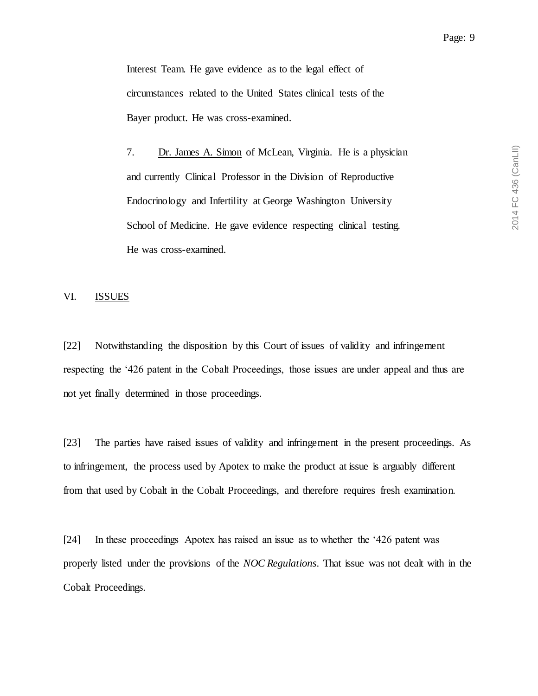Interest Team. He gave evidence as to the legal effect of circumstances related to the United States clinical tests of the Bayer product. He was cross-examined.

7. Dr. James A. Simon of McLean, Virginia. He is a physician and currently Clinical Professor in the Division of Reproductive Endocrinology and Infertility at George Washington University School of Medicine. He gave evidence respecting clinical testing. He was cross-examined.

## <span id="page-8-0"></span>VI. ISSUES

[22] Notwithstanding the disposition by this Court of issues of validity and infringement respecting the '426 patent in the Cobalt Proceedings, those issues are under appeal and thus are not yet finally determined in those proceedings.

[23] The parties have raised issues of validity and infringement in the present proceedings. As to infringement, the process used by Apotex to make the product at issue is arguably different from that used by Cobalt in the Cobalt Proceedings, and therefore requires fresh examination.

[24] In these proceedings Apotex has raised an issue as to whether the '426 patent was properly listed under the provisions of the *NOC Regulations*. That issue was not dealt with in the Cobalt Proceedings.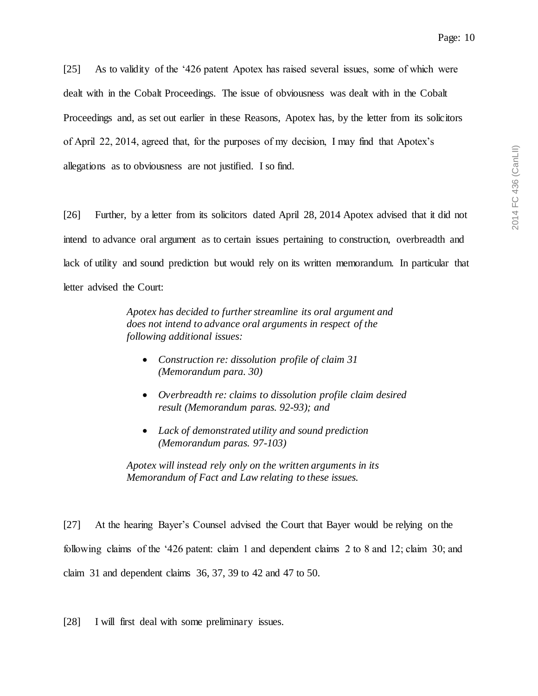[25] As to validity of the '426 patent Apotex has raised several issues, some of which were dealt with in the Cobalt Proceedings. The issue of obviousness was dealt with in the Cobalt Proceedings and, as set out earlier in these Reasons, Apotex has, by the letter from its solicitors of April 22, 2014, agreed that, for the purposes of my decision, I may find that Apotex's allegations as to obviousness are not justified. I so find.

[26] Further, by a letter from its solicitors dated April 28, 2014 Apotex advised that it did not intend to advance oral argument as to certain issues pertaining to construction, overbreadth and lack of utility and sound prediction but would rely on its written memorandum. In particular that letter advised the Court:

> *Apotex has decided to further streamline its oral argument and does not intend to advance oral arguments in respect of the following additional issues:*

- *Construction re: dissolution profile of claim 31 (Memorandum para. 30)*
- *Overbreadth re: claims to dissolution profile claim desired result (Memorandum paras. 92-93); and*
- *Lack of demonstrated utility and sound prediction (Memorandum paras. 97-103)*

*Apotex will instead rely only on the written arguments in its Memorandum of Fact and Law relating to these issues.* 

[27] At the hearing Bayer's Counsel advised the Court that Bayer would be relying on the following claims of the '426 patent: claim 1 and dependent claims 2 to 8 and 12; claim 30; and claim 31 and dependent claims 36, 37, 39 to 42 and 47 to 50.

[28] I will first deal with some preliminary issues.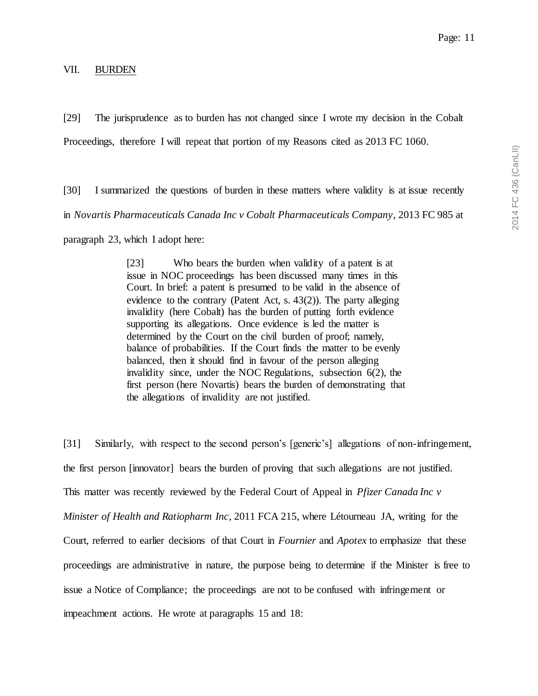### <span id="page-10-0"></span>VII. BURDEN

Page: 11

[29] The jurisprudence as to burden has not changed since I wrote my decision in the Cobalt Proceedings, therefore I will repeat that portion of my Reasons cited as 2013 FC 1060.

[30] I summarized the questions of burden in these matters where validity is at issue recently in *Novartis Pharmaceuticals Canada Inc v Cobalt Pharmaceuticals Company*, 2013 FC 985 at

paragraph 23, which I adopt here:

[23] Who bears the burden when validity of a patent is at issue in NOC proceedings has been discussed many times in this Court. In brief: a patent is presumed to be valid in the absence of evidence to the contrary (Patent Act, s. 43(2)). The party alleging invalidity (here Cobalt) has the burden of putting forth evidence supporting its allegations. Once evidence is led the matter is determined by the Court on the civil burden of proof; namely, balance of probabilities. If the Court finds the matter to be evenly balanced, then it should find in favour of the person alleging invalidity since, under the NOC Regulations, subsection 6(2), the first person (here Novartis) bears the burden of demonstrating that the allegations of invalidity are not justified.

[31] Similarly, with respect to the second person's [generic's] allegations of non-infringement, the first person [innovator] bears the burden of proving that such allegations are not justified. This matter was recently reviewed by the Federal Court of Appeal in *Pfizer Canada Inc v Minister of Health and Ratiopharm Inc*, 2011 FCA 215, where Létourneau JA, writing for the Court, referred to earlier decisions of that Court in *Fournier* and *Apotex* to emphasize that these proceedings are administrative in nature, the purpose being to determine if the Minister is free to issue a Notice of Compliance; the proceedings are not to be confused with infringement or impeachment actions. He wrote at paragraphs 15 and 18: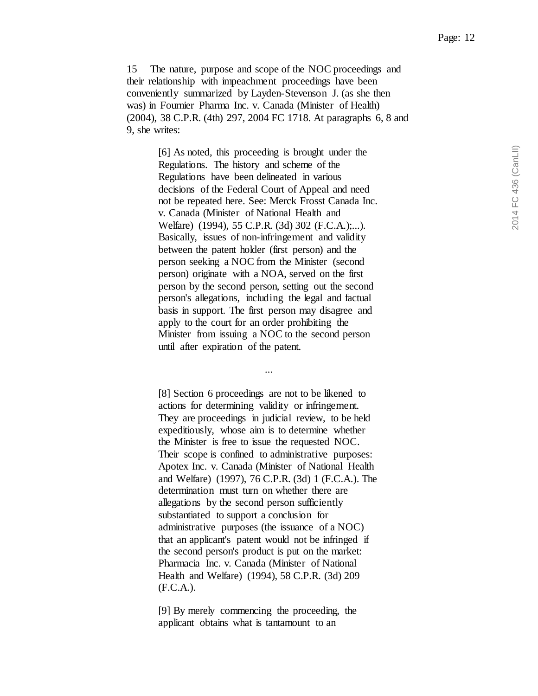15 The nature, purpose and scope of the NOC proceedings and their relationship with impeachment proceedings have been conveniently summarized by Layden-Stevenson J. (as she then was) in Fournier Pharma Inc. v. Canada (Minister of Health) (2004), 38 C.P.R. (4th) 297, 2004 FC 1718. At paragraphs 6, 8 and 9, she writes:

> [6] As noted, this proceeding is brought under the Regulations. The history and scheme of the Regulations have been delineated in various decisions of the Federal Court of Appeal and need not be repeated here. See: Merck Frosst Canada Inc. v. Canada (Minister of National Health and Welfare) (1994), 55 C.P.R. (3d) 302 (F.C.A.);...). Basically, issues of non-infringement and validity between the patent holder (first person) and the person seeking a NOC from the Minister (second person) originate with a NOA, served on the first person by the second person, setting out the second person's allegations, including the legal and factual basis in support. The first person may disagree and apply to the court for an order prohibiting the Minister from issuing a NOC to the second person until after expiration of the patent.

> > *...*

[8] Section 6 proceedings are not to be likened to actions for determining validity or infringement. They are proceedings in judicial review, to be held expeditiously, whose aim is to determine whether the Minister is free to issue the requested NOC. Their scope is confined to administrative purposes: Apotex Inc. v. Canada (Minister of National Health and Welfare) (1997), 76 C.P.R. (3d) 1 (F.C.A.). The determination must turn on whether there are allegations by the second person sufficiently substantiated to support a conclusion for administrative purposes (the issuance of a NOC) that an applicant's patent would not be infringed if the second person's product is put on the market: Pharmacia Inc. v. Canada (Minister of National Health and Welfare) (1994), 58 C.P.R. (3d) 209 (F.C.A.).

[9] By merely commencing the proceeding, the applicant obtains what is tantamount to an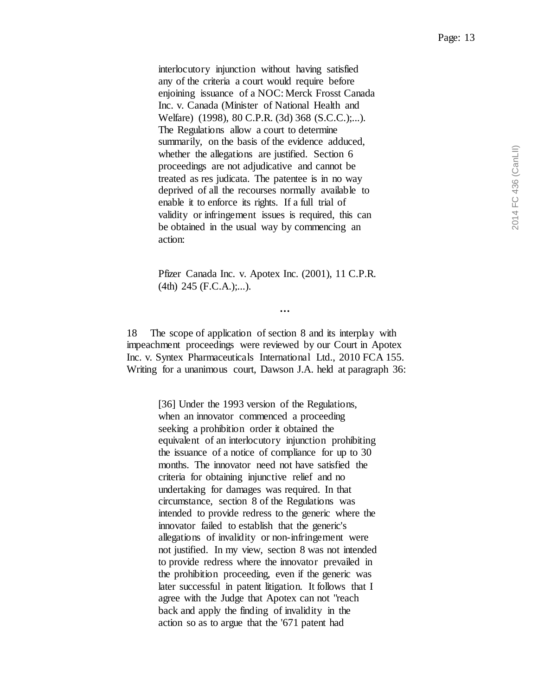interlocutory injunction without having satisfied any of the criteria a court would require before enjoining issuance of a NOC: Merck Frosst Canada Inc. v. Canada (Minister of National Health and Welfare) (1998), 80 C.P.R. (3d) 368 (S.C.C.);...). The Regulations allow a court to determine summarily, on the basis of the evidence adduced, whether the allegations are justified. Section 6 proceedings are not adjudicative and cannot be treated as res judicata. The patentee is in no way deprived of all the recourses normally available to enable it to enforce its rights. If a full trial of validity or infringement issues is required, this can be obtained in the usual way by commencing an action:

Pfizer Canada Inc. v. Apotex Inc. (2001), 11 C.P.R.  $(4th)$  245 (F.C.A.);...).

*…*

18 The scope of application of section 8 and its interplay with impeachment proceedings were reviewed by our Court in Apotex Inc. v. Syntex Pharmaceuticals International Ltd., 2010 FCA 155. Writing for a unanimous court, Dawson J.A. held at paragraph 36:

> [36] Under the 1993 version of the Regulations, when an innovator commenced a proceeding seeking a prohibition order it obtained the equivalent of an interlocutory injunction prohibiting the issuance of a notice of compliance for up to 30 months. The innovator need not have satisfied the criteria for obtaining injunctive relief and no undertaking for damages was required. In that circumstance, section 8 of the Regulations was intended to provide redress to the generic where the innovator failed to establish that the generic's allegations of invalidity or non-infringement were not justified. In my view, section 8 was not intended to provide redress where the innovator prevailed in the prohibition proceeding, even if the generic was later successful in patent litigation. It follows that I agree with the Judge that Apotex can not "reach back and apply the finding of invalidity in the action so as to argue that the '671 patent had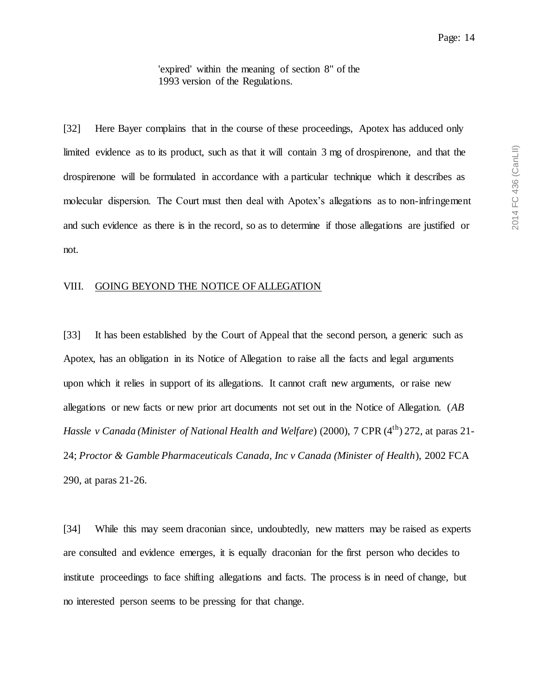'expired' within the meaning of section 8" of the 1993 version of the Regulations.

[32] Here Bayer complains that in the course of these proceedings, Apotex has adduced only limited evidence as to its product, such as that it will contain 3 mg of drospirenone, and that the drospirenone will be formulated in accordance with a particular technique which it describes as molecular dispersion. The Court must then deal with Apotex's allegations as to non-infringement and such evidence as there is in the record, so as to determine if those allegations are justified or not.

### <span id="page-13-0"></span>VIII. GOING BEYOND THE NOTICE OF ALLEGATION

[33] It has been established by the Court of Appeal that the second person, a generic such as Apotex, has an obligation in its Notice of Allegation to raise all the facts and legal arguments upon which it relies in support of its allegations. It cannot craft new arguments, or raise new allegations or new facts or new prior art documents not set out in the Notice of Allegation. (*AB Hassle v Canada (Minister of National Health and Welfare) (2000), 7 CPR (4<sup>th</sup>) 272, at paras 21-*24; *Proctor & Gamble Pharmaceuticals Canada, Inc v Canada (Minister of Health*), 2002 FCA 290, at paras 21-26.

[34] While this may seem draconian since, undoubtedly, new matters may be raised as experts are consulted and evidence emerges, it is equally draconian for the first person who decides to institute proceedings to face shifting allegations and facts. The process is in need of change, but no interested person seems to be pressing for that change.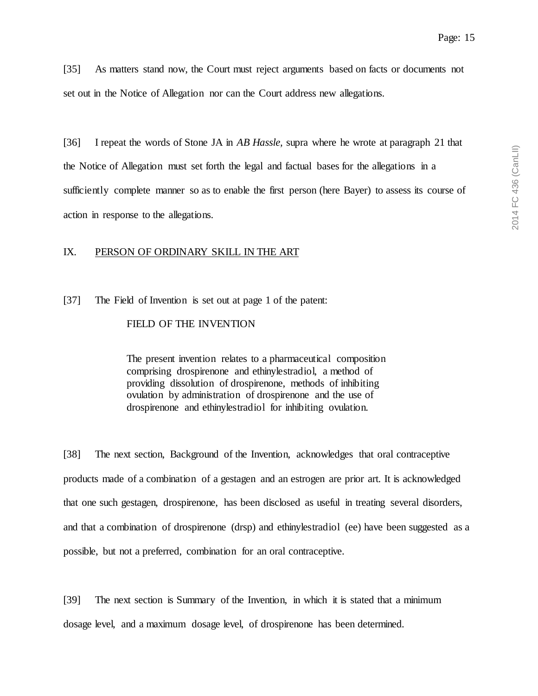[35] As matters stand now, the Court must reject arguments based on facts or documents not set out in the Notice of Allegation nor can the Court address new allegations.

[36] I repeat the words of Stone JA in *AB Hassle,* supra where he wrote at paragraph 21 that the Notice of Allegation must set forth the legal and factual bases for the allegations in a sufficiently complete manner so as to enable the first person (here Bayer) to assess its course of action in response to the allegations.

## <span id="page-14-0"></span>IX. PERSON OF ORDINARY SKILL IN THE ART

[37] The Field of Invention is set out at page 1 of the patent:

## FIELD OF THE INVENTION

The present invention relates to a pharmaceutical composition comprising drospirenone and ethinylestradiol, a method of providing dissolution of drospirenone, methods of inhibiting ovulation by administration of drospirenone and the use of drospirenone and ethinylestradiol for inhibiting ovulation.

[38] The next section, Background of the Invention, acknowledges that oral contraceptive products made of a combination of a gestagen and an estrogen are prior art. It is acknowledged that one such gestagen, drospirenone, has been disclosed as useful in treating several disorders, and that a combination of drospirenone (drsp) and ethinylestradiol (ee) have been suggested as a possible, but not a preferred, combination for an oral contraceptive.

[39] The next section is Summary of the Invention, in which it is stated that a minimum dosage level, and a maximum dosage level, of drospirenone has been determined.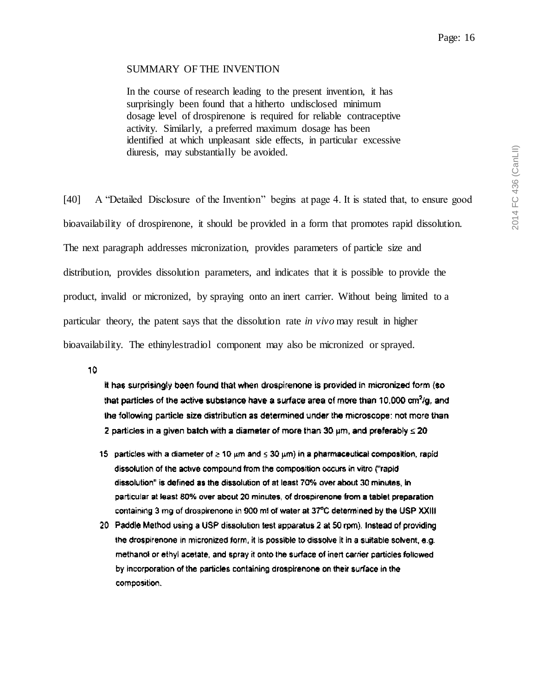### SUMMARY OF THE INVENTION

In the course of research leading to the present invention, it has surprisingly been found that a hitherto undisclosed minimum dosage level of drospirenone is required for reliable contraceptive activity. Similarly, a preferred maximum dosage has been identified at which unpleasant side effects, in particular excessive diuresis, may substantially be avoided.

[40] A "Detailed Disclosure of the Invention" begins at page 4. It is stated that, to ensure good bioavailability of drospirenone, it should be provided in a form that promotes rapid dissolution. The next paragraph addresses micronization, provides parameters of particle size and distribution, provides dissolution parameters, and indicates that it is possible to provide the product, invalid or micronized, by spraying onto an inert carrier. Without being limited to a particular theory, the patent says that the dissolution rate *in vivo* may result in higher bioavailability. The ethinylestradiol component may also be micronized or sprayed.

10

It has surprisingly been found that when drospirenone is provided in micronized form (so that particles of the active substance have a surface area of more than 10,000 cm<sup>2</sup>/g, and the following particle size distribution as determined under the microscope: not more than 2 particles in a given batch with a diameter of more than 30  $\mu$ m, and preferably  $\leq$  20

- 15 particles with a diameter of  $\geq 10 \,\mu m$  and  $\leq 30 \,\mu m$ ) in a pharmaceutical composition, rapid dissolution of the active compound from the composition occurs in vitro ("rapid" dissolution" is defined as the dissolution of at least 70% over about 30 minutes, in particular at least 80% over about 20 minutes, of drospirenone from a tablet preparation containing 3 mg of drospirenone in 900 ml of water at 37°C determined by the USP XXIII
- 20 Paddle Method using a USP dissolution test apparatus 2 at 50 rpm). Instead of providing the drospirenone in micronized form, it is possible to dissolve it in a suitable solvent, e.g. methanol or ethyl acetate, and spray it onto the surface of inert carrier particles followed by incorporation of the particles containing drospirenone on their surface in the composition.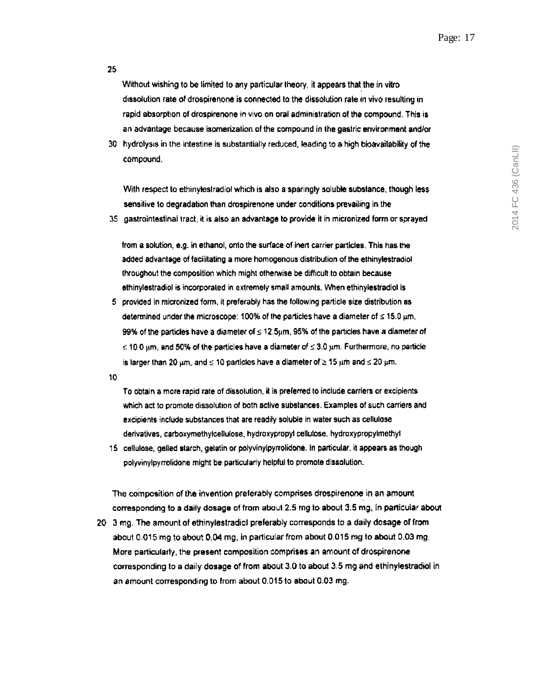Without wishing to be limited to any particular theory, it appears that the in vitrodissolution rate of drospirenone is connected to the dissolution rate in vivo resulting in rapid absorption of drospirenone in vivo on oral administration of the compound. This is an advantage because isomerization of the compound in the gastric environment and/or

30 hydrolysis in the intestine is substantially reduced, leading to a high bioavailability of the compound.

With respect to ethinylestradiol which is also a sparingly soluble substance, though less sensitive to degradation than drospirenone under conditions prevailing in the

35 gastrointestinal tract, it is also an advantage to provide it in micronized form or sprayed

from a solution, e.g. in ethanol, onto the surface of inert carrier particles. This has the added advantage of facilitating a more homogenous distribution of the ethinylestradiol throughout the composition which might otherwise be difficult to obtain because ethinylestradiol is incorporated in extremely small amounts. When ethinylestradiol is

5 provided in micronized form, it preferably has the following particle size distribution as determined under the microscope: 100% of the particles have a diameter of  $\leq$  15.0  $\mu$ m, 99% of the particles have a diameter of  $\leq 12.5 \mu m$ , 95% of the particles have a diameter of  $\leq$  10.0  $\mu$ m, and 50% of the particles have a diameter of  $\leq$  3.0  $\mu$ m. Furthermore, no particle is larger than 20  $\mu$ m, and  $\leq$  10 particles have a diameter of  $\geq$  15  $\mu$ m and  $\leq$  20  $\mu$ m.

10

To obtain a more rapid rate of dissolution, it is preferred to include carriers or excipients which act to promote dissolution of both active substances. Examples of such carriers and excipients include substances that are readily soluble in water such as cellulose derivatives, carboxymethylcellulose, hydroxypropyl cellulose, hydroxypropylmethyl

15 cellulose, gelled starch, gelatin or polyvinylpymolidone. In particular, it appears as though polyvinylpyrrolidone might be particularly helpful to promote dissolution.

The composition of the invention preferably comprises drospirenone in an amount corresponding to a daily dosage of from about 2.5 mg to about 3.5 mg, in particular about 20 3 mg. The amount of ethinylestradiol preferably corresponds to a daily dosage of from about 0.015 mg to about 0.04 mg, in particular from about 0.015 mg to about 0.03 mg. More particularly, the present composition comprises an amount of drospirenone corresponding to a daily dosage of from about 3.0 to about 3.5 mg and ethinylestradiol in an amount corresponding to from about 0.015 to about 0.03 mg.

#### 25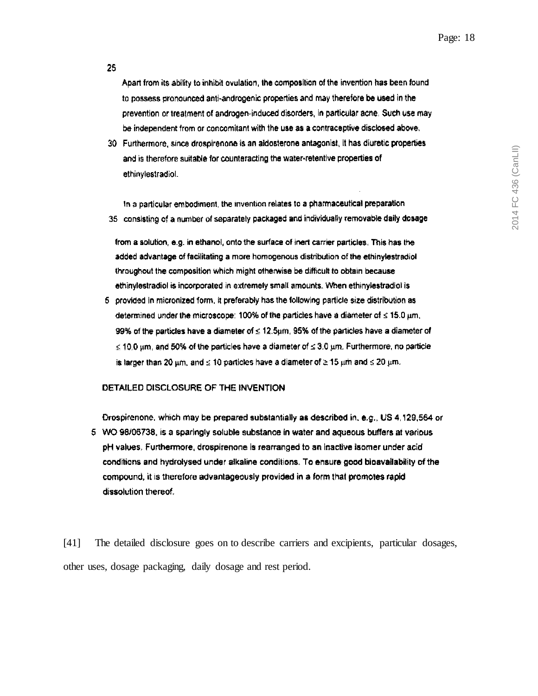25

Apart from its ability to inhibit ovulation, the composition of the invention has been found to possess pronounced anti-androgenic properties and may therefore be used in the prevention or treatment of androgen-induced disorders, in particular acne. Such use may be independent from or concomitant with the use as a contraceptive disclosed above.

30 Furthermore, since drospirenone is an aldosterone antagonist, it has diuretic properties and is therefore suitable for counteracting the water-retentive properties of ethinylestradiol.

In a particular embodiment, the invention relates to a pharmaceutical preparation 35 consisting of a number of separately packaged and individually removable daily dosage

from a solution, e.g. in ethanol, onto the surface of inert carrier particles. This has the added advantage of facilitating a more homogenous distribution of the ethinylestradiol throughout the composition which might otherwise be difficult to obtain because ethinylestradiol is incorporated in extremely small amounts. When ethinylestradiol is

5 provided in micronized form, it preferably has the following particle size distribution as determined under the microscope: 100% of the particles have a diameter of  $\leq$  15.0  $\mu$ m, 99% of the particles have a diameter of  $\leq 12.5 \mu m$ , 95% of the particles have a diameter of  $\leq$  10.0 um, and 50% of the particles have a diameter of  $\leq$  3.0 um. Furthermore, no particle is larger than 20  $\mu$ m, and  $\leq$  10 particles have a diameter of  $\geq$  15  $\mu$ m and  $\leq$  20  $\mu$ m.

#### DETAILED DISCLOSURE OF THE INVENTION

Drospirenone, which may be prepared substantially as described in, e.g., US 4,129,564 or 5 WO 98/06738, is a sparingly soluble substance in water and aqueous buffers at various pH values. Furthermore, drospirenone is rearranged to an inactive isomer under acid conditions and hydrolysed under alkaline conditions. To ensure good bioavailability of the compound, it is therefore advantageously provided in a form that promotes rapid dissolution thereof.

[41] The detailed disclosure goes on to describe carriers and excipients, particular dosages, other uses, dosage packaging, daily dosage and rest period.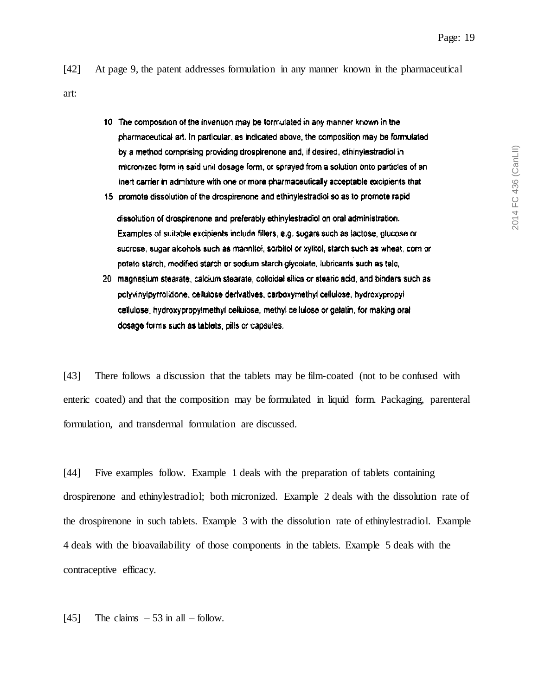2014 FC 436 (CanLII)

2014 FC 436 (CanLII)

- [42] At page 9, the patent addresses formulation in any manner known in the pharmaceutical art:
	- 10 The composition of the invention may be formulated in any manner known in the pharmaceutical art, In particular, as indicated above, the composition may be formulated by a method comprising providing drospirenone and, if desired, ethinylestradiol in micronized form in said unit dosage form, or sprayed from a solution onto particles of an inert carrier in admixture with one or more pharmaceutically acceptable excipients that
	- 15 promote dissolution of the drospirenone and ethinylestradiol so as to promote rapid

dissolution of drospirenone and preferably ethinylestradiol on oral administration. Examples of suitable excipients include fillers, e.g. sugars such as lactose, glucose or sucrose, sugar alcohols such as mannitol, sorbitol or xylitol, starch such as wheat, corn or potato starch, modified starch or sodium starch glycolate, lubricants such as talc,

20 magnesium stearate, calcium stearate, colloidal silica or stearic acid, and binders such as polyvinylpyrrolidone, cellulose derivatives, carboxymethyl cellulose, hydroxypropyl cellulose, hydroxypropylmethyl cellulose, methyl cellulose or gelatin, for making oral dosage forms such as tablets, pills or capsules.

[43] There follows a discussion that the tablets may be film-coated (not to be confused with enteric coated) and that the composition may be formulated in liquid form. Packaging, parenteral formulation, and transdermal formulation are discussed.

[44] Five examples follow. Example 1 deals with the preparation of tablets containing drospirenone and ethinylestradiol; both micronized. Example 2 deals with the dissolution rate of the drospirenone in such tablets. Example 3 with the dissolution rate of ethinylestradiol. Example 4 deals with the bioavailability of those components in the tablets. Example 5 deals with the contraceptive efficacy.

[45] The claims  $-53$  in all – follow.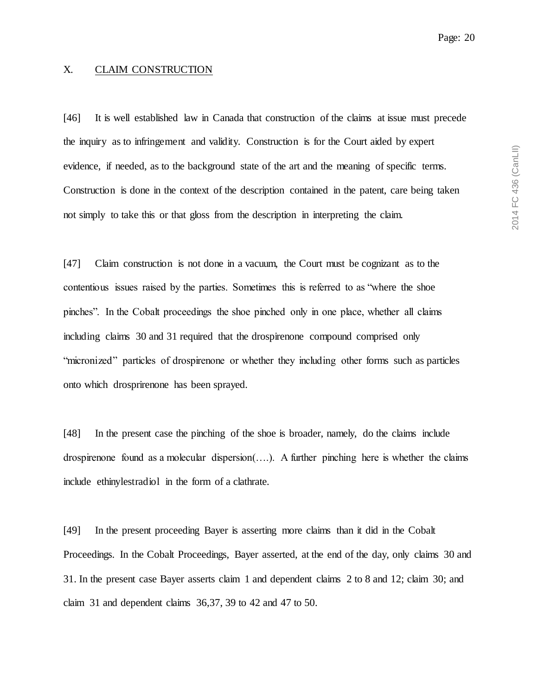## <span id="page-19-0"></span>X. CLAIM CONSTRUCTION

[46] It is well established law in Canada that construction of the claims at issue must precede the inquiry as to infringement and validity. Construction is for the Court aided by expert evidence, if needed, as to the background state of the art and the meaning of specific terms. Construction is done in the context of the description contained in the patent, care being taken not simply to take this or that gloss from the description in interpreting the claim.

[47] Claim construction is not done in a vacuum, the Court must be cognizant as to the contentious issues raised by the parties. Sometimes this is referred to as "where the shoe pinches". In the Cobalt proceedings the shoe pinched only in one place, whether all claims including claims 30 and 31 required that the drospirenone compound comprised only "micronized" particles of drospirenone or whether they including other forms such as particles onto which drosprirenone has been sprayed.

[48] In the present case the pinching of the shoe is broader, namely, do the claims include drospirenone found as a molecular dispersion(….). A further pinching here is whether the claims include ethinylestradiol in the form of a clathrate.

[49] In the present proceeding Bayer is asserting more claims than it did in the Cobalt Proceedings. In the Cobalt Proceedings, Bayer asserted, at the end of the day, only claims 30 and 31. In the present case Bayer asserts claim 1 and dependent claims 2 to 8 and 12; claim 30; and claim 31 and dependent claims 36,37, 39 to 42 and 47 to 50.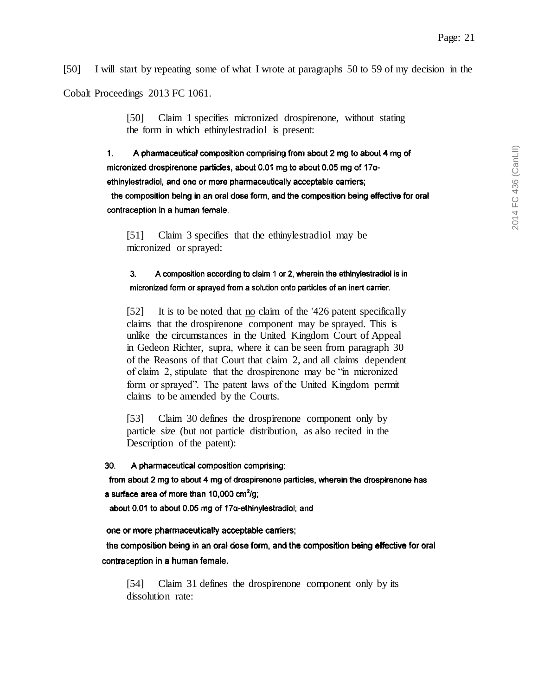[50] I will start by repeating some of what I wrote at paragraphs 50 to 59 of my decision in the

Cobalt Proceedings 2013 FC 1061.

[50] Claim 1 specifies micronized drospirenone, without stating the form in which ethinylestradiol is present:

 $\mathbf{1}$ . A pharmaceutical composition comprising from about 2 mg to about 4 mg of micronized drospirenone particles, about 0.01 mg to about 0.05 mg of 17aethinylestradiol, and one or more pharmaceutically acceptable carriers;

the composition being in an oral dose form, and the composition being effective for oral contraception in a human female.

[51] Claim 3 specifies that the ethinylestradiol may be micronized or sprayed:

 $3.$ A composition according to claim 1 or 2, wherein the ethinylestradiol is in micronized form or sprayed from a solution onto particles of an inert carrier.

[52] It is to be noted that no claim of the '426 patent specifically claims that the drospirenone component may be sprayed. This is unlike the circumstances in the United Kingdom Court of Appeal in Gedeon Richter, supra, where it can be seen from paragraph 30 of the Reasons of that Court that claim 2, and all claims dependent of claim 2, stipulate that the drospirenone may be "in micronized form or sprayed". The patent laws of the United Kingdom permit claims to be amended by the Courts.

[53] Claim 30 defines the drospirenone component only by particle size (but not particle distribution, as also recited in the Description of the patent):

30. A pharmaceutical composition comprising:

from about 2 mg to about 4 mg of drospirenone particles, wherein the drospirenone has a surface area of more than 10,000 cm<sup>2</sup>/g;

about 0.01 to about 0.05 mg of 17a-ethinylestradiol; and

one or more pharmaceutically acceptable carriers;

the composition being in an oral dose form, and the composition being effective for oral contraception in a human female.

[54] Claim 31 defines the drospirenone component only by its dissolution rate: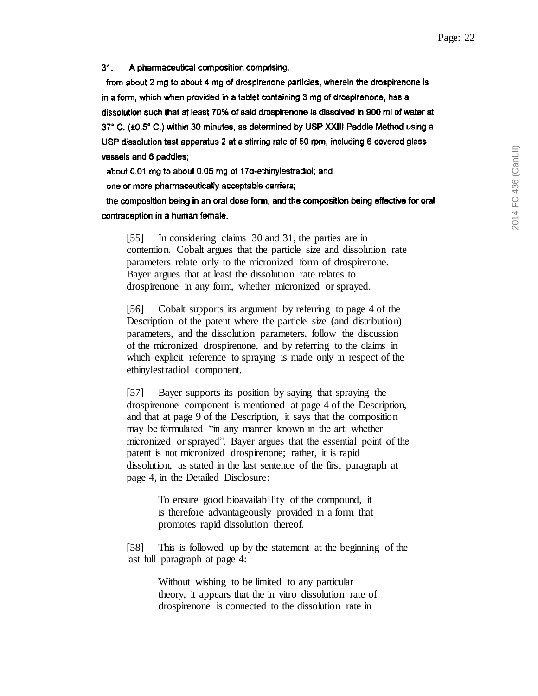$31.$ A pharmaceutical composition comprising:

from about 2 mg to about 4 mg of drospirenone particles, wherein the drospirenone is in a form, which when provided in a tablet containing 3 mg of drospirenone, has a dissolution such that at least 70% of said drospirenone is dissolved in 900 ml of water at 37° C. (±0.5° C.) within 30 minutes, as determined by USP XXIII Paddle Method using a USP dissolution test apparatus 2 at a stirring rate of 50 rpm, including 6 covered glass vessels and 6 paddles;

about 0.01 mg to about 0.05 mg of 17α-ethinylestradiol; and

one or more pharmaceutically acceptable carriers;

the composition being in an oral dose form, and the composition being effective for oral contraception in a human female.

[55] In considering claims 30 and 31, the parties are in contention. Cobalt argues that the particle size and dissolution rate parameters relate only to the micronized form of drospirenone. Bayer argues that at least the dissolution rate relates to drospirenone in any form, whether micronized or sprayed.

[56] Cobalt supports its argument by referring to page 4 of the Description of the patent where the particle size (and distribution) parameters, and the dissolution parameters, follow the discussion of the micronized drospirenone, and by referring to the claims in which explicit reference to spraying is made only in respect of the ethinylestradiol component.

[57] Bayer supports its position by saying that spraying the drospirenone component is mentioned at page 4 of the Description, and that at page 9 of the Description, it says that the composition may be formulated "in any manner known in the art: whether micronized or sprayed". Bayer argues that the essential point of the patent is not micronized drospirenone; rather, it is rapid dissolution, as stated in the last sentence of the first paragraph at page 4, in the Detailed Disclosure:

> To ensure good bioavailability of the compound, it is therefore advantageously provided in a form that promotes rapid dissolution thereof.

[58] This is followed up by the statement at the beginning of the last full paragraph at page 4:

> Without wishing to be limited to any particular theory, it appears that the in vitro dissolution rate of drospirenone is connected to the dissolution rate in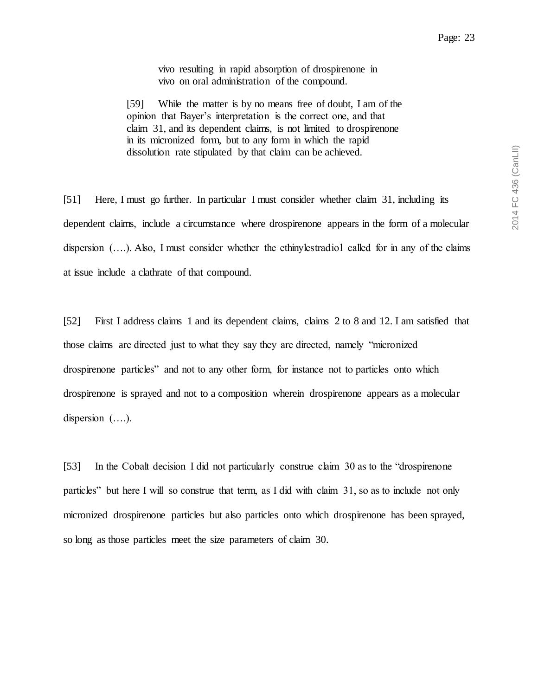vivo resulting in rapid absorption of drospirenone in vivo on oral administration of the compound.

[59] While the matter is by no means free of doubt, I am of the opinion that Bayer's interpretation is the correct one, and that claim 31, and its dependent claims, is not limited to drospirenone in its micronized form, but to any form in which the rapid dissolution rate stipulated by that claim can be achieved.

[51] Here, I must go further. In particular I must consider whether claim 31, including its dependent claims, include a circumstance where drospirenone appears in the form of a molecular dispersion (….). Also, I must consider whether the ethinylestradiol called for in any of the claims at issue include a clathrate of that compound.

[52] First I address claims 1 and its dependent claims, claims 2 to 8 and 12. I am satisfied that those claims are directed just to what they say they are directed, namely "micronized drospirenone particles" and not to any other form, for instance not to particles onto which drospirenone is sprayed and not to a composition wherein drospirenone appears as a molecular dispersion (….).

[53] In the Cobalt decision I did not particularly construe claim 30 as to the "drospirenone particles" but here I will so construe that term, as I did with claim 31, so as to include not only micronized drospirenone particles but also particles onto which drospirenone has been sprayed, so long as those particles meet the size parameters of claim 30.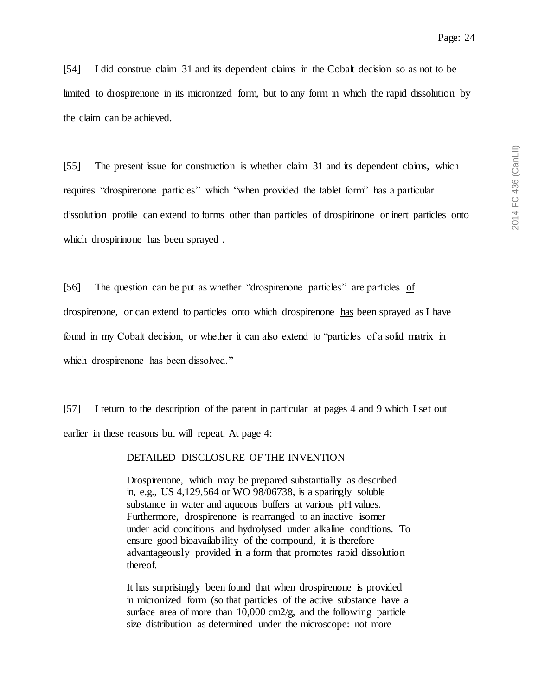[54] I did construe claim 31 and its dependent claims in the Cobalt decision so as not to be limited to drospirenone in its micronized form, but to any form in which the rapid dissolution by the claim can be achieved.

[55] The present issue for construction is whether claim 31 and its dependent claims, which requires "drospirenone particles" which "when provided the tablet form" has a particular dissolution profile can extend to forms other than particles of drospirinone or inert particles onto which drospirinone has been sprayed .

[56] The question can be put as whether "drospirenone particles" are particles of drospirenone, or can extend to particles onto which drospirenone has been sprayed as I have found in my Cobalt decision, or whether it can also extend to "particles of a solid matrix in which drospirenone has been dissolved."

[57] I return to the description of the patent in particular at pages 4 and 9 which I set out earlier in these reasons but will repeat. At page 4:

### DETAILED DISCLOSURE OF THE INVENTION

Drospirenone, which may be prepared substantially as described in, e.g., US 4,129,564 or WO 98/06738, is a sparingly soluble substance in water and aqueous buffers at various pH values. Furthermore, drospirenone is rearranged to an inactive isomer under acid conditions and hydrolysed under alkaline conditions. To ensure good bioavailability of the compound, it is therefore advantageously provided in a form that promotes rapid dissolution thereof.

It has surprisingly been found that when drospirenone is provided in micronized form (so that particles of the active substance have a surface area of more than 10,000 cm2/g, and the following particle size distribution as determined under the microscope: not more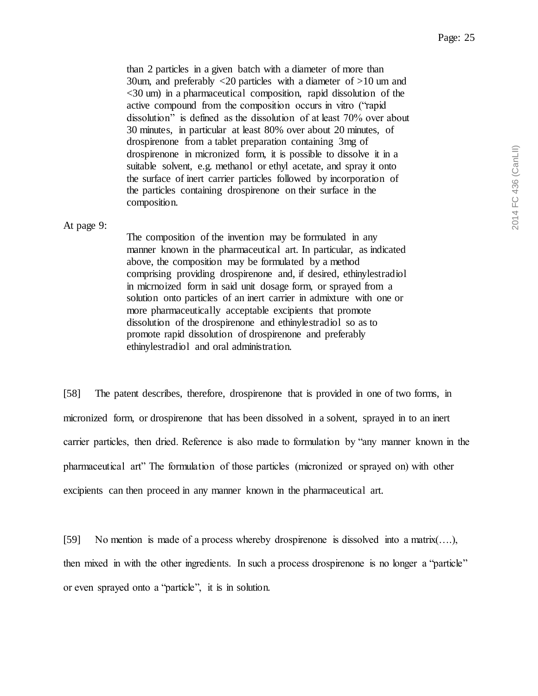than 2 particles in a given batch with a diameter of more than 30um, and preferably <20 particles with a diameter of >10 um and <30 um) in a pharmaceutical composition, rapid dissolution of the active compound from the composition occurs in vitro ("rapid dissolution" is defined as the dissolution of at least 70% over about 30 minutes, in particular at least 80% over about 20 minutes, of drospirenone from a tablet preparation containing 3mg of drospirenone in micronized form, it is possible to dissolve it in a suitable solvent, e.g. methanol or ethyl acetate, and spray it onto the surface of inert carrier particles followed by incorporation of the particles containing drospirenone on their surface in the composition.

#### At page 9:

The composition of the invention may be formulated in any manner known in the pharmaceutical art. In particular, as indicated above, the composition may be formulated by a method comprising providing drospirenone and, if desired, ethinylestradiol in micrnoized form in said unit dosage form, or sprayed from a solution onto particles of an inert carrier in admixture with one or more pharmaceutically acceptable excipients that promote dissolution of the drospirenone and ethinylestradiol so as to promote rapid dissolution of drospirenone and preferably ethinylestradiol and oral administration.

[58] The patent describes, therefore, drospirenone that is provided in one of two forms, in micronized form, or drospirenone that has been dissolved in a solvent, sprayed in to an inert carrier particles, then dried. Reference is also made to formulation by "any manner known in the pharmaceutical art" The formulation of those particles (micronized or sprayed on) with other excipients can then proceed in any manner known in the pharmaceutical art.

[59] No mention is made of a process whereby drospirenone is dissolved into a matrix(….), then mixed in with the other ingredients. In such a process drospirenone is no longer a "particle" or even sprayed onto a "particle", it is in solution.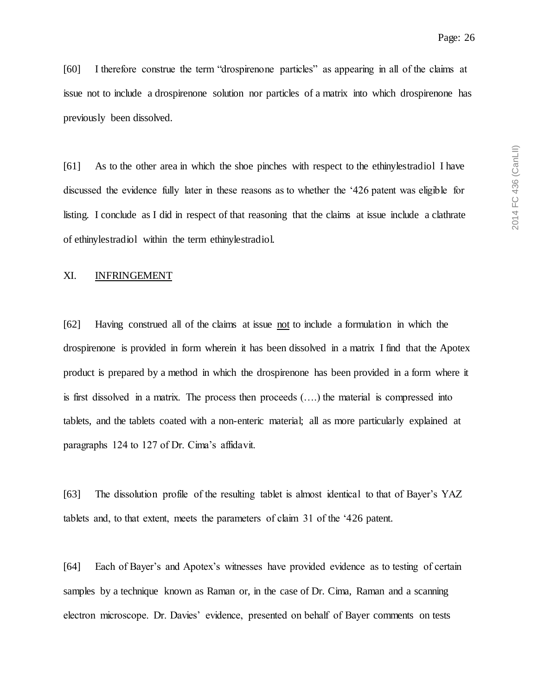[60] I therefore construe the term "drospirenone particles" as appearing in all of the claims at issue not to include a drospirenone solution nor particles of a matrix into which drospirenone has previously been dissolved.

[61] As to the other area in which the shoe pinches with respect to the ethinylestradiol I have discussed the evidence fully later in these reasons as to whether the '426 patent was eligible for listing. I conclude as I did in respect of that reasoning that the claims at issue include a clathrate of ethinylestradiol within the term ethinylestradiol.

## <span id="page-25-0"></span>XI. INFRINGEMENT

[62] Having construed all of the claims at issue not to include a formulation in which the drospirenone is provided in form wherein it has been dissolved in a matrix I find that the Apotex product is prepared by a method in which the drospirenone has been provided in a form where it is first dissolved in a matrix. The process then proceeds (….) the material is compressed into tablets, and the tablets coated with a non-enteric material; all as more particularly explained at paragraphs 124 to 127 of Dr. Cima's affidavit.

[63] The dissolution profile of the resulting tablet is almost identical to that of Bayer's YAZ tablets and, to that extent, meets the parameters of claim 31 of the '426 patent.

[64] Each of Bayer's and Apotex's witnesses have provided evidence as to testing of certain samples by a technique known as Raman or, in the case of Dr. Cima, Raman and a scanning electron microscope. Dr. Davies' evidence, presented on behalf of Bayer comments on tests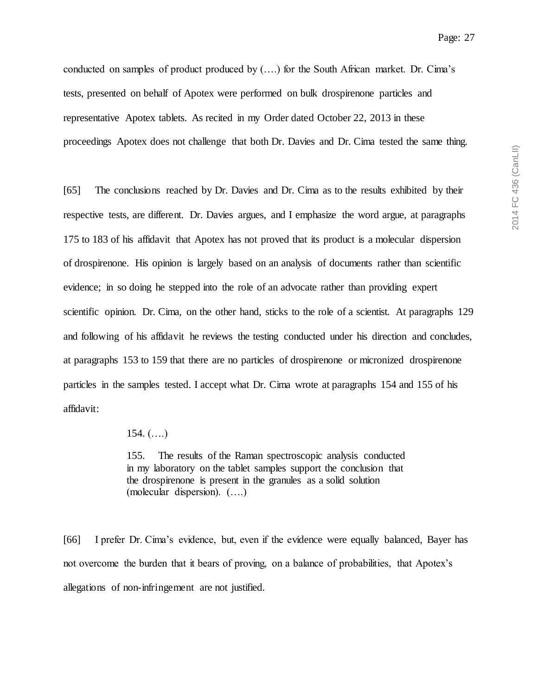conducted on samples of product produced by (….) for the South African market. Dr. Cima's tests, presented on behalf of Apotex were performed on bulk drospirenone particles and representative Apotex tablets. As recited in my Order dated October 22, 2013 in these proceedings Apotex does not challenge that both Dr. Davies and Dr. Cima tested the same thing.

[65] The conclusions reached by Dr. Davies and Dr. Cima as to the results exhibited by their respective tests, are different. Dr. Davies argues, and I emphasize the word argue, at paragraphs 175 to 183 of his affidavit that Apotex has not proved that its product is a molecular dispersion of drospirenone. His opinion is largely based on an analysis of documents rather than scientific evidence; in so doing he stepped into the role of an advocate rather than providing expert scientific opinion. Dr. Cima, on the other hand, sticks to the role of a scientist. At paragraphs 129 and following of his affidavit he reviews the testing conducted under his direction and concludes, at paragraphs 153 to 159 that there are no particles of drospirenone or micronized drospirenone particles in the samples tested. I accept what Dr. Cima wrote at paragraphs 154 and 155 of his affidavit:

154.  $(...)$ 

155. The results of the Raman spectroscopic analysis conducted in my laboratory on the tablet samples support the conclusion that the drospirenone is present in the granules as a solid solution (molecular dispersion). (….)

[66] I prefer Dr. Cima's evidence, but, even if the evidence were equally balanced, Bayer has not overcome the burden that it bears of proving, on a balance of probabilities, that Apotex's allegations of non-infringement are not justified.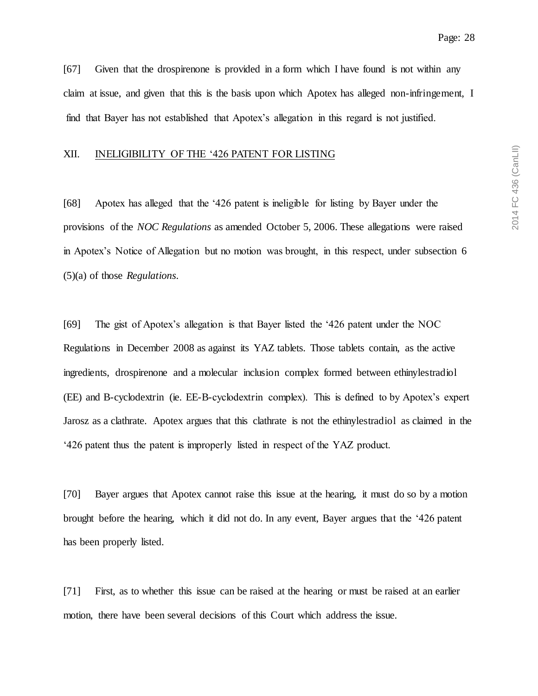[67] Given that the drospirenone is provided in a form which I have found is not within any claim at issue, and given that this is the basis upon which Apotex has alleged non-infringement, I find that Bayer has not established that Apotex's allegation in this regard is not justified.

### <span id="page-27-0"></span>XII. INELIGIBILITY OF THE '426 PATENT FOR LISTING

[68] Apotex has alleged that the '426 patent is ineligible for listing by Bayer under the provisions of the *NOC Regulations* as amended October 5, 2006. These allegations were raised in Apotex's Notice of Allegation but no motion was brought, in this respect, under subsection 6 (5)(a) of those *Regulations*.

[69] The gist of Apotex's allegation is that Bayer listed the '426 patent under the NOC Regulations in December 2008 as against its YAZ tablets. Those tablets contain, as the active ingredients, drospirenone and a molecular inclusion complex formed between ethinylestradiol (EE) and B-cyclodextrin (ie. EE-B-cyclodextrin complex). This is defined to by Apotex's expert Jarosz as a clathrate. Apotex argues that this clathrate is not the ethinylestradiol as claimed in the '426 patent thus the patent is improperly listed in respect of the YAZ product.

[70] Bayer argues that Apotex cannot raise this issue at the hearing, it must do so by a motion brought before the hearing, which it did not do. In any event, Bayer argues that the '426 patent has been properly listed.

[71] First, as to whether this issue can be raised at the hearing or must be raised at an earlier motion, there have been several decisions of this Court which address the issue.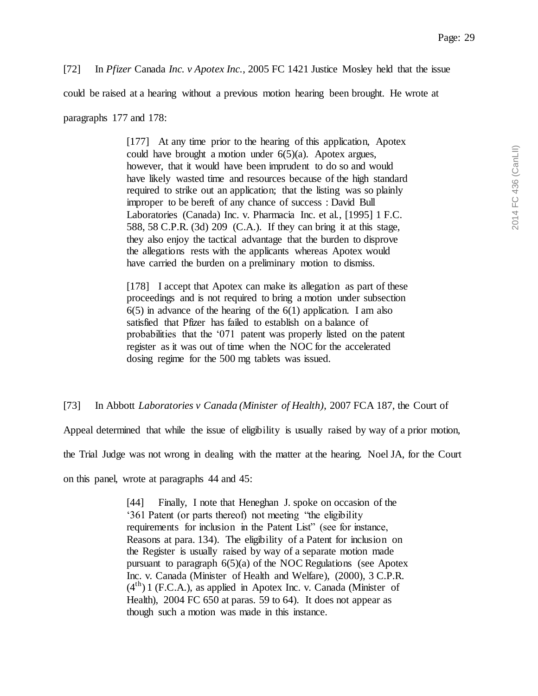[72] In *Pfizer* Canada *Inc. v Apotex Inc.*, 2005 FC 1421 Justice Mosley held that the issue

could be raised at a hearing without a previous motion hearing been brought. He wrote at

paragraphs 177 and 178:

[177] At any time prior to the hearing of this application, Apotex could have brought a motion under  $6(5)(a)$ . Apotex argues, however, that it would have been imprudent to do so and would have likely wasted time and resources because of the high standard required to strike out an application; that the listing was so plainly improper to be bereft of any chance of success : David Bull Laboratories (Canada) Inc. v. Pharmacia Inc. et al., [1995] 1 F.C. 588, 58 C.P.R. (3d) 209 (C.A.). If they can bring it at this stage, they also enjoy the tactical advantage that the burden to disprove the allegations rests with the applicants whereas Apotex would have carried the burden on a preliminary motion to dismiss.

[178] I accept that Apotex can make its allegation as part of these proceedings and is not required to bring a motion under subsection  $6(5)$  in advance of the hearing of the  $6(1)$  application. I am also satisfied that Pfizer has failed to establish on a balance of probabilities that the '071 patent was properly listed on the patent register as it was out of time when the NOC for the accelerated dosing regime for the 500 mg tablets was issued.

[73] In Abbott *Laboratories v Canada (Minister of Health)*, 2007 FCA 187, the Court of

Appeal determined that while the issue of eligibility is usually raised by way of a prior motion,

the Trial Judge was not wrong in dealing with the matter at the hearing. Noel JA, for the Court

on this panel, wrote at paragraphs 44 and 45:

[44] Finally, I note that Heneghan J. spoke on occasion of the '361 Patent (or parts thereof) not meeting "the eligibility requirements for inclusion in the Patent List" (see for instance, Reasons at para. 134). The eligibility of a Patent for inclusion on the Register is usually raised by way of a separate motion made pursuant to paragraph 6(5)(a) of the NOC Regulations (see Apotex Inc. v. Canada (Minister of Health and Welfare), (2000), 3 C.P.R.  $(4<sup>th</sup>)$  1 (F.C.A.), as applied in Apotex Inc. v. Canada (Minister of Health), 2004 FC 650 at paras. 59 to 64). It does not appear as though such a motion was made in this instance.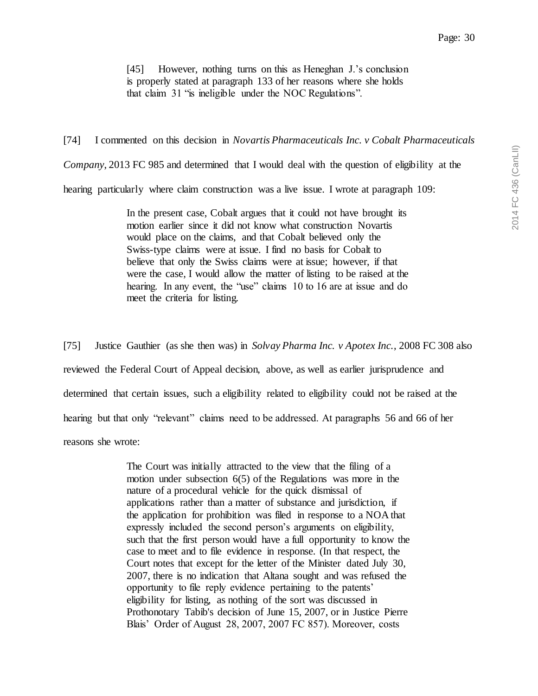[45] However, nothing turns on this as Heneghan J.'s conclusion is properly stated at paragraph 133 of her reasons where she holds that claim 31 "is ineligible under the NOC Regulations".

[74] I commented on this decision in *Novartis Pharmaceuticals Inc. v Cobalt Pharmaceuticals Company*, 2013 FC 985 and determined that I would deal with the question of eligibility at the hearing particularly where claim construction was a live issue. I wrote at paragraph 109:

> In the present case, Cobalt argues that it could not have brought its motion earlier since it did not know what construction Novartis would place on the claims, and that Cobalt believed only the Swiss-type claims were at issue. I find no basis for Cobalt to believe that only the Swiss claims were at issue; however, if that were the case, I would allow the matter of listing to be raised at the hearing. In any event, the "use" claims 10 to 16 are at issue and do meet the criteria for listing.

[75] Justice Gauthier (as she then was) in *Solvay Pharma Inc. v Apotex Inc.*, 2008 FC 308 also reviewed the Federal Court of Appeal decision, above, as well as earlier jurisprudence and determined that certain issues, such a eligibility related to eligibility could not be raised at the hearing but that only "relevant" claims need to be addressed. At paragraphs 56 and 66 of her reasons she wrote:

> The Court was initially attracted to the view that the filing of a motion under subsection 6(5) of the Regulations was more in the nature of a procedural vehicle for the quick dismissal of applications rather than a matter of substance and jurisdiction, if the application for prohibition was filed in response to a NOA that expressly included the second person's arguments on eligibility, such that the first person would have a full opportunity to know the case to meet and to file evidence in response. (In that respect, the Court notes that except for the letter of the Minister dated July 30, 2007, there is no indication that Altana sought and was refused the opportunity to file reply evidence pertaining to the patents' eligibility for listing, as nothing of the sort was discussed in Prothonotary Tabib's decision of June 15, 2007, or in Justice Pierre Blais' Order of August 28, 2007, 2007 FC 857). Moreover, costs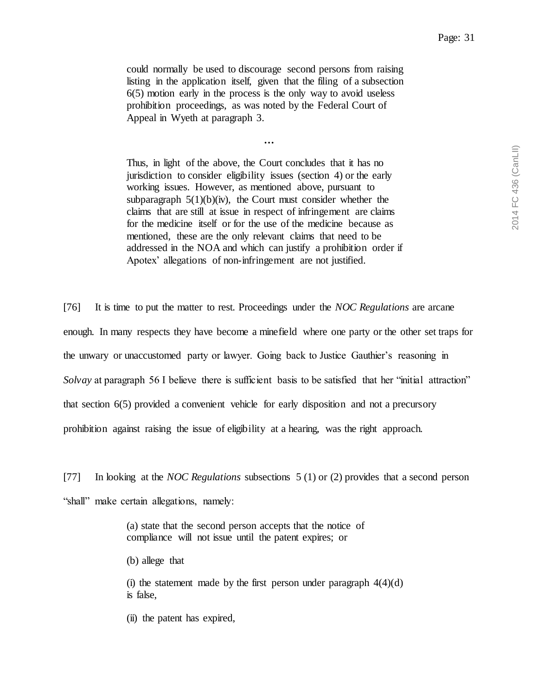could normally be used to discourage second persons from raising listing in the application itself, given that the filing of a subsection 6(5) motion early in the process is the only way to avoid useless prohibition proceedings, as was noted by the Federal Court of Appeal in Wyeth at paragraph 3.

*…*

Thus, in light of the above, the Court concludes that it has no jurisdiction to consider eligibility issues (section 4) or the early working issues. However, as mentioned above, pursuant to subparagraph  $5(1)(b)(iv)$ , the Court must consider whether the claims that are still at issue in respect of infringement are claims for the medicine itself or for the use of the medicine because as mentioned, these are the only relevant claims that need to be addressed in the NOA and which can justify a prohibition order if Apotex' allegations of non-infringement are not justified.

[76] It is time to put the matter to rest. Proceedings under the *NOC Regulations* are arcane enough. In many respects they have become a minefield where one party or the other set traps for the unwary or unaccustomed party or lawyer. Going back to Justice Gauthier's reasoning in *Solvay* at paragraph 56 I believe there is sufficient basis to be satisfied that her "initial attraction" that section 6(5) provided a convenient vehicle for early disposition and not a precursory prohibition against raising the issue of eligibility at a hearing, was the right approach.

[77] In looking at the *NOC Regulations* subsections 5 (1) or (2) provides that a second person "shall" make certain allegations, namely:

> (a) state that the second person accepts that the notice of compliance will not issue until the patent expires; or

(b) allege that

(i) the statement made by the first person under paragraph  $4(4)(d)$ is false,

(ii) the patent has expired,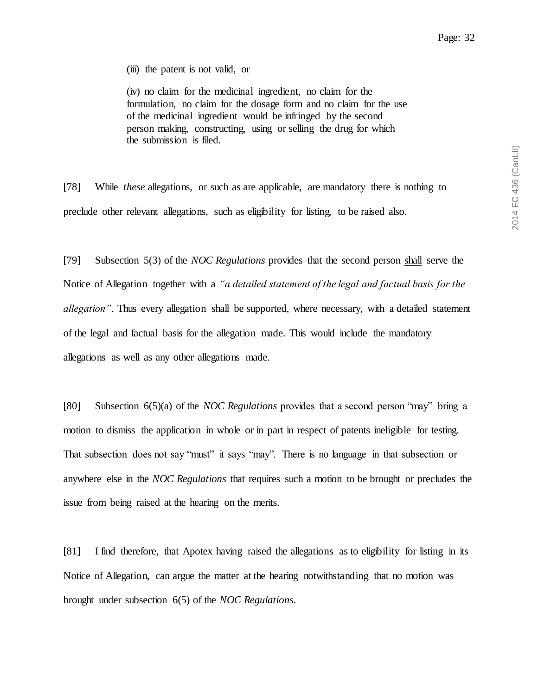(iii) the patent is not valid, or

(iv) no claim for the medicinal ingredient, no claim for the formulation, no claim for the dosage form and no claim for the use of the medicinal ingredient would be infringed by the second person making, constructing, using or selling the drug for which the submission is filed.

[78] While *these* allegations, or such as are applicable, are mandatory there is nothing to preclude other relevant allegations, such as eligibility for listing, to be raised also.

[79] Subsection 5(3) of the *NOC Regulations* provides that the second person shall serve the Notice of Allegation together with a *"a detailed statement of the legal and factual basis for the allegation"*. Thus every allegation shall be supported, where necessary, with a detailed statement of the legal and factual basis for the allegation made. This would include the mandatory allegations as well as any other allegations made.

[80] Subsection 6(5)(a) of the *NOC Regulations* provides that a second person "may" bring a motion to dismiss the application in whole or in part in respect of patents ineligible for testing. That subsection does not say "must" it says "may". There is no language in that subsection or anywhere else in the *NOC Regulations* that requires such a motion to be brought or precludes the issue from being raised at the hearing on the merits.

[81] I find therefore, that Apotex having raised the allegations as to eligibility for listing in its Notice of Allegation, can argue the matter at the hearing notwithstanding that no motion was brought under subsection 6(5) of the *NOC Regulations*.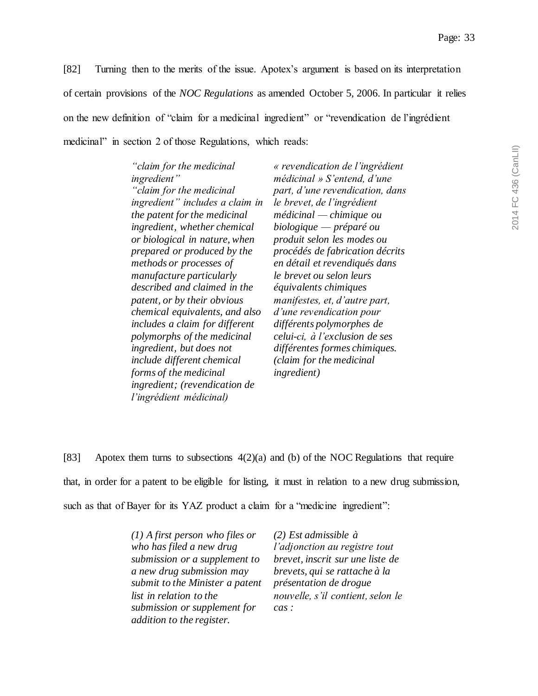[82] Turning then to the merits of the issue. Apotex's argument is based on its interpretation of certain provisions of the *NOC Regulations* as amended October 5, 2006. In particular it relies on the new definition of "claim for a medicinal ingredient" or "revendication de l'ingrédient medicinal" in section 2 of those Regulations, which reads:

| "claim for the medicinal        | « revendication de l'ingrédient         |
|---------------------------------|-----------------------------------------|
| ingredient"                     | $m\acute{e}dicinal \gg S'entend, d'une$ |
| "claim for the medicinal        | part, d'une revendication, dans         |
| ingredient" includes a claim in | le brevet, de l'ingrédient              |
| the patent for the medicinal    | $m\'edicial$ - chimique ou              |
| ingredient, whether chemical    | $biologique - préparé ou$               |
| or biological in nature, when   | produit selon les modes ou              |
| prepared or produced by the     | procédés de fabrication décrits         |
| methods or processes of         | en détail et revendiqués dans           |
| manufacture particularly        | le brevet ou selon leurs                |
| described and claimed in the    | équivalents chimiques                   |
| patent, or by their obvious     | manifestes, et, d'autre part,           |
| chemical equivalents, and also  | d'une revendication pour                |
| includes a claim for different  | différents polymorphes de               |
| polymorphs of the medicinal     | celui-ci, à l'exclusion de ses          |
| ingredient, but does not        | différentes formes chimiques.           |
| include different chemical      | (claim for the medicinal                |
| forms of the medicinal          | <i>ingredient</i> )                     |
| ingredient; (revendication de   |                                         |
| l'ingrédient médicinal)         |                                         |

[83] Apotex them turns to subsections 4(2)(a) and (b) of the NOC Regulations that require that, in order for a patent to be eligible for listing, it must in relation to a new drug submission, such as that of Bayer for its YAZ product a claim for a "medicine ingredient":

> *(1) A first person who files or who has filed a new drug submission or a supplement to a new drug submission may submit to the Minister a patent list in relation to the submission or supplement for addition to the register.*

*(2) Est admissible à l'adjonction au registre tout brevet, inscrit sur une liste de brevets, qui se rattache à la présentation de drogue nouvelle, s'il contient, selon le cas :*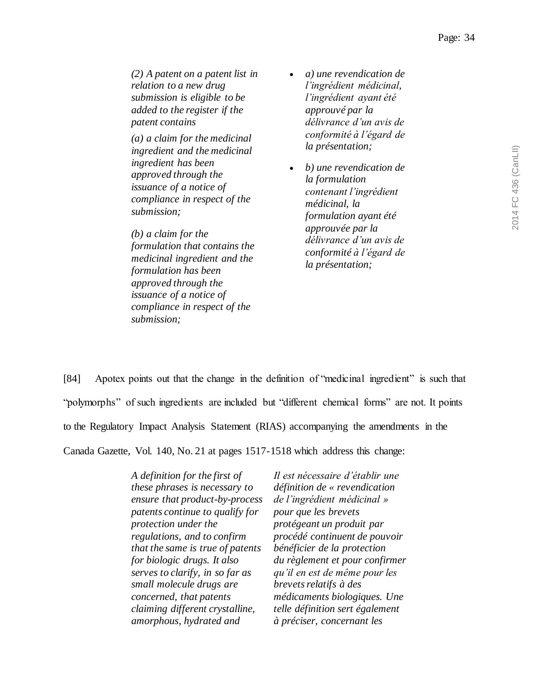*(2) A patent on a patent list in relation to a new drug submission is eligible to be added to the register if the patent contains*

*(a) a claim for the medicinal ingredient and the medicinal ingredient has been approved through the issuance of a notice of compliance in respect of the submission;*

*(b) a claim for the formulation that contains the medicinal ingredient and the formulation has been approved through the issuance of a notice of compliance in respect of the submission;*

- *a) une revendication de l'ingrédient médicinal, l'ingrédient ayant été approuvé par la délivrance d'un avis de conformité à l'égard de la présentation;*
- *b) une revendication de la formulation contenant l'ingrédient médicinal, la formulation ayant été approuvée par la délivrance d'un avis de conformité à l'égard de la présentation;*

[84] Apotex points out that the change in the definition of "medicinal ingredient" is such that "polymorphs" of such ingredients are included but "different chemical forms" are not. It points to the Regulatory Impact Analysis Statement (RIAS) accompanying the amendments in the Canada Gazette, Vol. 140, No. 21 at pages 1517-1518 which address this change:

> *A definition for the first of these phrases is necessary to ensure that product-by-process patents continue to qualify for protection under the regulations, and to confirm that the same is true of patents for biologic drugs. It also serves to clarify, in so far as small molecule drugs are concerned, that patents claiming different crystalline, amorphous, hydrated and*

*Il est nécessaire d'établir une définition de « revendication de l'ingrédient médicinal » pour que les brevets protégeant un produit par procédé continuent de pouvoir bénéficier de la protection du règlement et pour confirmer qu'il en est de même pour les brevets relatifs à des médicaments biologiques. Une telle définition sert également à préciser, concernant les*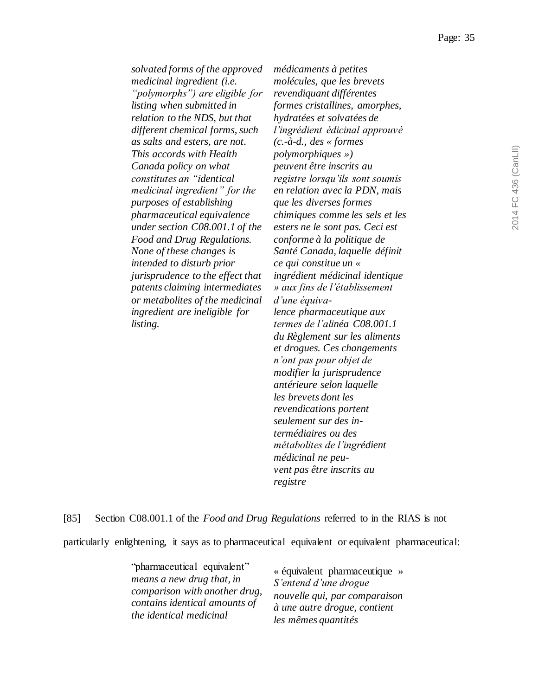*solvated forms of the approved medicinal ingredient (i.e. "polymorphs") are eligible for listing when submitted in relation to the NDS, but that different chemical forms, such as salts and esters, are not. This accords with Health Canada policy on what constitutes an "identical medicinal ingredient" for the purposes of establishing pharmaceutical equivalence under section C08.001.1 of the Food and Drug Regulations. None of these changes is intended to disturb prior jurisprudence to the effect that patents claiming intermediates or metabolites of the medicinal ingredient are ineligible for listing.* 

*médicaments à petites molécules, que les brevets revendiquant différentes formes cristallines, amorphes, hydratées et solvatées de l'ingrédient édicinal approuvé (c.-à-d., des « formes polymorphiques ») peuvent être inscrits au registre lorsqu'ils sont soumis en relation avec la PDN, mais que les diverses formes chimiques comme les sels et les esters ne le sont pas. Ceci est conforme à la politique de Santé Canada, laquelle définit ce qui constitue un « ingrédient médicinal identique » aux fins de l'établissement d'une équivalence pharmaceutique aux termes de l'alinéa C08.001.1 du Règlement sur les aliments et drogues. Ces changements n'ont pas pour objet de modifier la jurisprudence antérieure selon laquelle les brevets dont les revendications portent seulement sur des intermédiaires ou des métabolites de l'ingrédient médicinal ne peuvent pas être inscrits au registre*

[85] Section C08.001.1 of the *Food and Drug Regulations* referred to in the RIAS is not

particularly enlightening, it says as to pharmaceutical equivalent or equivalent pharmaceutical:

"pharmaceutical equivalent" *means a new drug that, in comparison with another drug, contains identical amounts of the identical medicinal* 

« équivalent pharmaceutique » *S'entend d'une drogue nouvelle qui, par comparaison à une autre drogue, contient les mêmes quantités*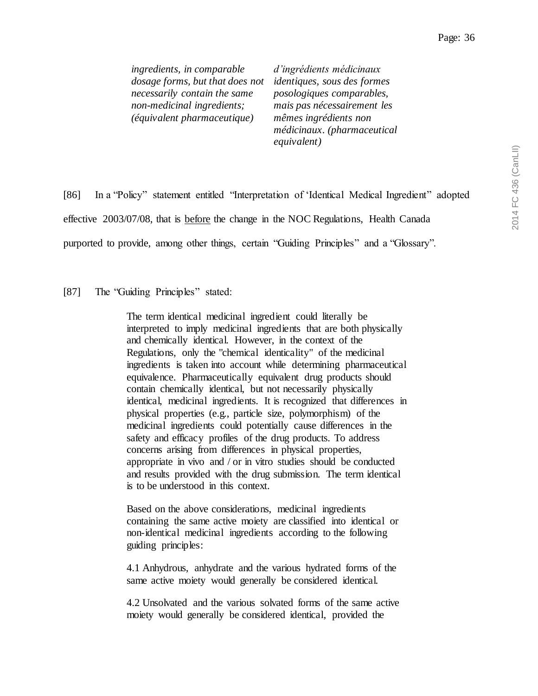*ingredients, in comparable dosage forms, but that does not necessarily contain the same non-medicinal ingredients; (équivalent pharmaceutique)*

*d'ingrédients médicinaux identiques, sous des formes posologiques comparables, mais pas nécessairement les mêmes ingrédients non médicinaux. (pharmaceutical equivalent)*

[86] In a "Policy" statement entitled "Interpretation of 'Identical Medical Ingredient" adopted effective 2003/07/08, that is before the change in the NOC Regulations, Health Canada purported to provide, among other things, certain "Guiding Principles" and a "Glossary".

[87] The "Guiding Principles" stated:

The term identical medicinal ingredient could literally be interpreted to imply medicinal ingredients that are both physically and chemically identical. However, in the context of the Regulations, only the "chemical identicality" of the medicinal ingredients is taken into account while determining pharmaceutical equivalence. Pharmaceutically equivalent drug products should contain chemically identical, but not necessarily physically identical, medicinal ingredients. It is recognized that differences in physical properties (e.g., particle size, polymorphism) of the medicinal ingredients could potentially cause differences in the safety and efficacy profiles of the drug products. To address concerns arising from differences in physical properties, appropriate in vivo and / or in vitro studies should be conducted and results provided with the drug submission. The term identical is to be understood in this context.

Based on the above considerations, medicinal ingredients containing the same active moiety are classified into identical or non-identical medicinal ingredients according to the following guiding principles:

4.1 Anhydrous, anhydrate and the various hydrated forms of the same active moiety would generally be considered identical.

4.2 Unsolvated and the various solvated forms of the same active moiety would generally be considered identical, provided the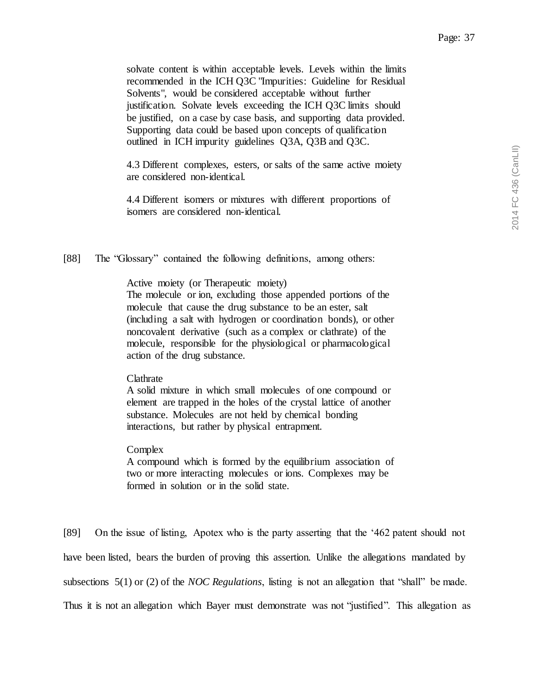solvate content is within acceptable levels. Levels within the limits recommended in the ICH Q3C "Impurities: Guideline for Residual Solvents", would be considered acceptable without further justification. Solvate levels exceeding the ICH Q3C limits should be justified, on a case by case basis, and supporting data provided. Supporting data could be based upon concepts of qualification outlined in ICH impurity guidelines Q3A, Q3B and Q3C.

4.3 Different complexes, esters, or salts of the same active moiety are considered non-identical.

4.4 Different isomers or mixtures with different proportions of isomers are considered non-identical.

[88] The "Glossary" contained the following definitions, among others:

Active moiety (or Therapeutic moiety)

The molecule or ion, excluding those appended portions of the molecule that cause the drug substance to be an ester, salt (including a salt with hydrogen or coordination bonds), or other noncovalent derivative (such as a complex or clathrate) of the molecule, responsible for the physiological or pharmacological action of the drug substance.

### Clathrate

A solid mixture in which small molecules of one compound or element are trapped in the holes of the crystal lattice of another substance. Molecules are not held by chemical bonding interactions, but rather by physical entrapment.

### Complex

A compound which is formed by the equilibrium association of two or more interacting molecules or ions. Complexes may be formed in solution or in the solid state.

[89] On the issue of listing, Apotex who is the party asserting that the '462 patent should not have been listed, bears the burden of proving this assertion. Unlike the allegations mandated by subsections 5(1) or (2) of the *NOC Regulations*, listing is not an allegation that "shall" be made. Thus it is not an allegation which Bayer must demonstrate was not "justified". This allegation as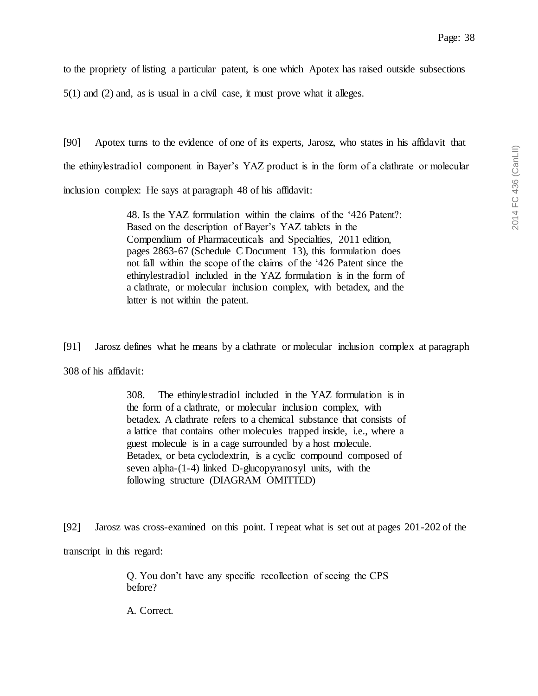to the propriety of listing a particular patent, is one which Apotex has raised outside subsections

5(1) and (2) and, as is usual in a civil case, it must prove what it alleges.

[90] Apotex turns to the evidence of one of its experts, Jarosz, who states in his affidavit that the ethinylestradiol component in Bayer's YAZ product is in the form of a clathrate or molecular inclusion complex: He says at paragraph 48 of his affidavit:

> 48. Is the YAZ formulation within the claims of the '426 Patent?: Based on the description of Bayer's YAZ tablets in the Compendium of Pharmaceuticals and Specialties, 2011 edition, pages 2863-67 (Schedule C Document 13), this formulation does not fall within the scope of the claims of the '426 Patent since the ethinylestradiol included in the YAZ formulation is in the form of a clathrate, or molecular inclusion complex, with betadex, and the latter is not within the patent.

[91] Jarosz defines what he means by a clathrate or molecular inclusion complex at paragraph 308 of his affidavit:

> 308. The ethinylestradiol included in the YAZ formulation is in the form of a clathrate, or molecular inclusion complex, with betadex. A clathrate refers to a chemical substance that consists of a lattice that contains other molecules trapped inside, i.e., where a guest molecule is in a cage surrounded by a host molecule. Betadex, or beta cyclodextrin, is a cyclic compound composed of seven alpha-(1-4) linked D-glucopyranosyl units, with the following structure (DIAGRAM OMITTED)

[92] Jarosz was cross-examined on this point. I repeat what is set out at pages 201-202 of the transcript in this regard:

> Q. You don't have any specific recollection of seeing the CPS before?

A. Correct.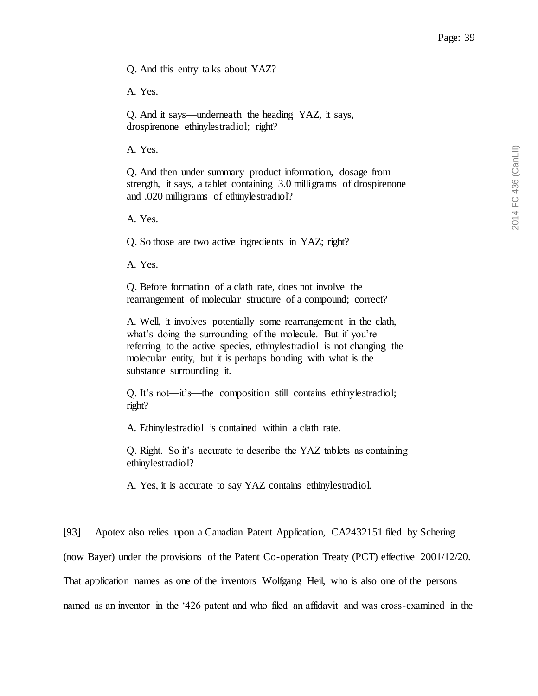Q. And this entry talks about YAZ?

A. Yes.

Q. And it says—underneath the heading YAZ, it says, drospirenone ethinylestradiol; right?

A. Yes.

Q. And then under summary product information, dosage from strength, it says, a tablet containing 3.0 milligrams of drospirenone and .020 milligrams of ethinylestradiol?

A. Yes.

Q. So those are two active ingredients in YAZ; right?

A. Yes.

Q. Before formation of a clath rate, does not involve the rearrangement of molecular structure of a compound; correct?

A. Well, it involves potentially some rearrangement in the clath, what's doing the surrounding of the molecule. But if you're referring to the active species, ethinylestradiol is not changing the molecular entity, but it is perhaps bonding with what is the substance surrounding it.

Q. It's not—it's—the composition still contains ethinylestradiol; right?

A. Ethinylestradiol is contained within a clath rate.

Q. Right. So it's accurate to describe the YAZ tablets as containing ethinylestradiol?

A. Yes, it is accurate to say YAZ contains ethinylestradiol.

[93] Apotex also relies upon a Canadian Patent Application, CA2432151 filed by Schering (now Bayer) under the provisions of the Patent Co-operation Treaty (PCT) effective 2001/12/20. That application names as one of the inventors Wolfgang Heil, who is also one of the persons named as an inventor in the '426 patent and who filed an affidavit and was cross-examined in the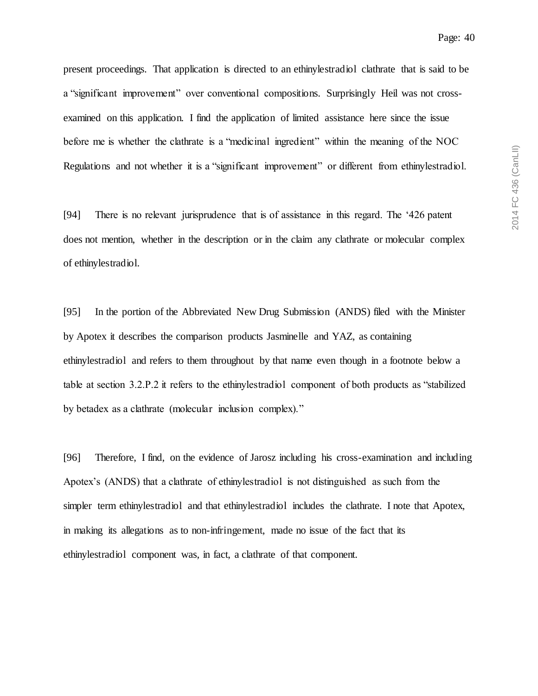present proceedings. That application is directed to an ethinylestradiol clathrate that is said to be a "significant improvement" over conventional compositions. Surprisingly Heil was not crossexamined on this application. I find the application of limited assistance here since the issue before me is whether the clathrate is a "medicinal ingredient" within the meaning of the NOC Regulations and not whether it is a "significant improvement" or different from ethinylestradiol.

[94] There is no relevant jurisprudence that is of assistance in this regard. The '426 patent does not mention, whether in the description or in the claim any clathrate or molecular complex of ethinylestradiol.

[95] In the portion of the Abbreviated New Drug Submission (ANDS) filed with the Minister by Apotex it describes the comparison products Jasminelle and YAZ, as containing ethinylestradiol and refers to them throughout by that name even though in a footnote below a table at section 3.2.P.2 it refers to the ethinylestradiol component of both products as "stabilized by betadex as a clathrate (molecular inclusion complex)."

[96] Therefore, I find, on the evidence of Jarosz including his cross-examination and including Apotex's (ANDS) that a clathrate of ethinylestradiol is not distinguished as such from the simpler term ethinylestradiol and that ethinylestradiol includes the clathrate. I note that Apotex, in making its allegations as to non-infringement, made no issue of the fact that its ethinylestradiol component was, in fact, a clathrate of that component.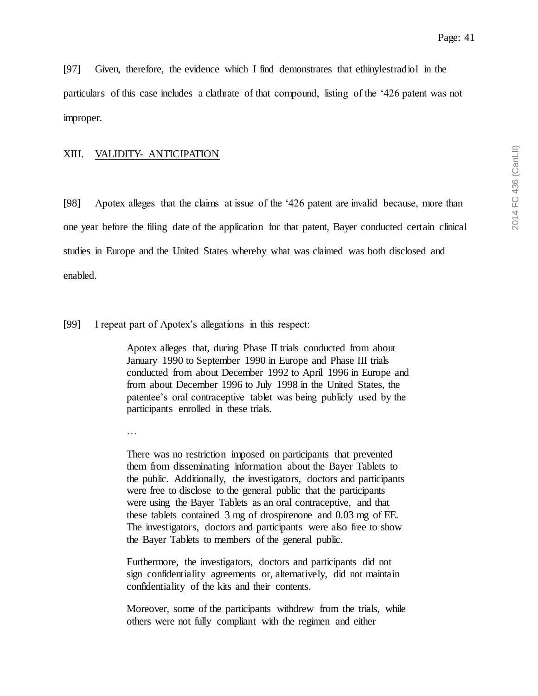[97] Given, therefore, the evidence which I find demonstrates that ethinylestradiol in the particulars of this case includes a clathrate of that compound, listing of the '426 patent was not improper.

## <span id="page-40-0"></span>XIII. VALIDITY- ANTICIPATION

[98] Apotex alleges that the claims at issue of the '426 patent are invalid because, more than one year before the filing date of the application for that patent, Bayer conducted certain clinical studies in Europe and the United States whereby what was claimed was both disclosed and enabled.

[99] I repeat part of Apotex's allegations in this respect:

Apotex alleges that, during Phase II trials conducted from about January 1990 to September 1990 in Europe and Phase III trials conducted from about December 1992 to April 1996 in Europe and from about December 1996 to July 1998 in the United States, the patentee's oral contraceptive tablet was being publicly used by the participants enrolled in these trials.

…

There was no restriction imposed on participants that prevented them from disseminating information about the Bayer Tablets to the public. Additionally, the investigators, doctors and participants were free to disclose to the general public that the participants were using the Bayer Tablets as an oral contraceptive, and that these tablets contained 3 mg of drospirenone and 0.03 mg of EE. The investigators, doctors and participants were also free to show the Bayer Tablets to members of the general public.

Furthermore, the investigators, doctors and participants did not sign confidentiality agreements or, alternatively, did not maintain confidentiality of the kits and their contents.

Moreover, some of the participants withdrew from the trials, while others were not fully compliant with the regimen and either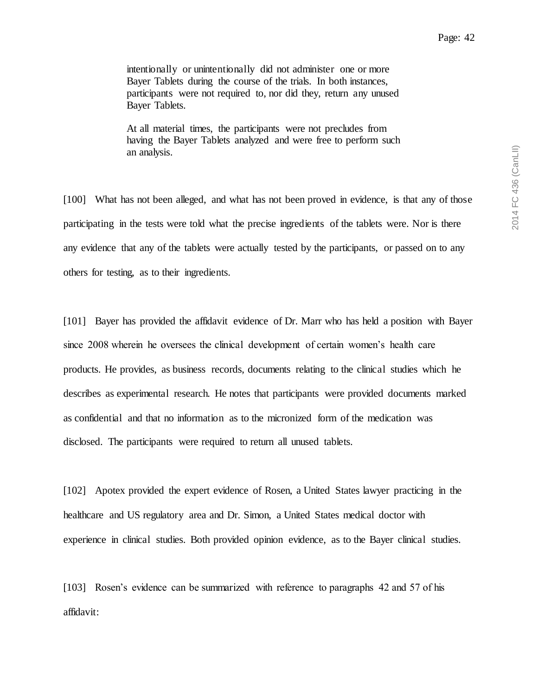intentionally or unintentionally did not administer one or more Bayer Tablets during the course of the trials. In both instances, participants were not required to, nor did they, return any unused Bayer Tablets.

At all material times, the participants were not precludes from having the Bayer Tablets analyzed and were free to perform such an analysis.

[100] What has not been alleged, and what has not been proved in evidence, is that any of those participating in the tests were told what the precise ingredients of the tablets were. Nor is there any evidence that any of the tablets were actually tested by the participants, or passed on to any others for testing, as to their ingredients.

[101] Bayer has provided the affidavit evidence of Dr. Marr who has held a position with Bayer since 2008 wherein he oversees the clinical development of certain women's health care products. He provides, as business records, documents relating to the clinical studies which he describes as experimental research. He notes that participants were provided documents marked as confidential and that no information as to the micronized form of the medication was disclosed. The participants were required to return all unused tablets.

[102] Apotex provided the expert evidence of Rosen, a United States lawyer practicing in the healthcare and US regulatory area and Dr. Simon, a United States medical doctor with experience in clinical studies. Both provided opinion evidence, as to the Bayer clinical studies.

[103] Rosen's evidence can be summarized with reference to paragraphs 42 and 57 of his affidavit: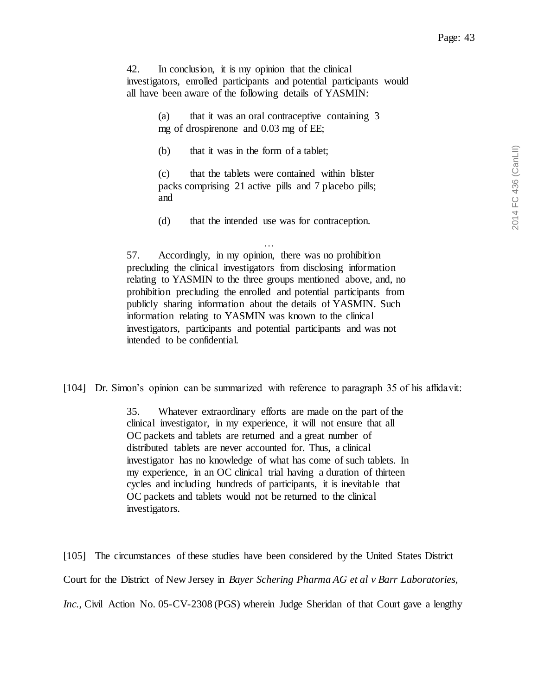42. In conclusion, it is my opinion that the clinical investigators, enrolled participants and potential participants would all have been aware of the following details of YASMIN:

> (a) that it was an oral contraceptive containing 3 mg of drospirenone and 0.03 mg of EE;

(b) that it was in the form of a tablet;

(c) that the tablets were contained within blister packs comprising 21 active pills and 7 placebo pills; and

(d) that the intended use was for contraception.

… 57. Accordingly, in my opinion, there was no prohibition precluding the clinical investigators from disclosing information relating to YASMIN to the three groups mentioned above, and, no prohibition precluding the enrolled and potential participants from publicly sharing information about the details of YASMIN. Such information relating to YASMIN was known to the clinical investigators, participants and potential participants and was not intended to be confidential.

[104] Dr. Simon's opinion can be summarized with reference to paragraph 35 of his affidavit:

35. Whatever extraordinary efforts are made on the part of the clinical investigator, in my experience, it will not ensure that all OC packets and tablets are returned and a great number of distributed tablets are never accounted for. Thus, a clinical investigator has no knowledge of what has come of such tablets. In my experience, in an OC clinical trial having a duration of thirteen cycles and including hundreds of participants, it is inevitable that OC packets and tablets would not be returned to the clinical investigators.

[105] The circumstances of these studies have been considered by the United States District Court for the District of New Jersey in *Bayer Schering Pharma AG et al v Barr Laboratories, Inc.*, Civil Action No. 05-CV-2308 (PGS) wherein Judge Sheridan of that Court gave a lengthy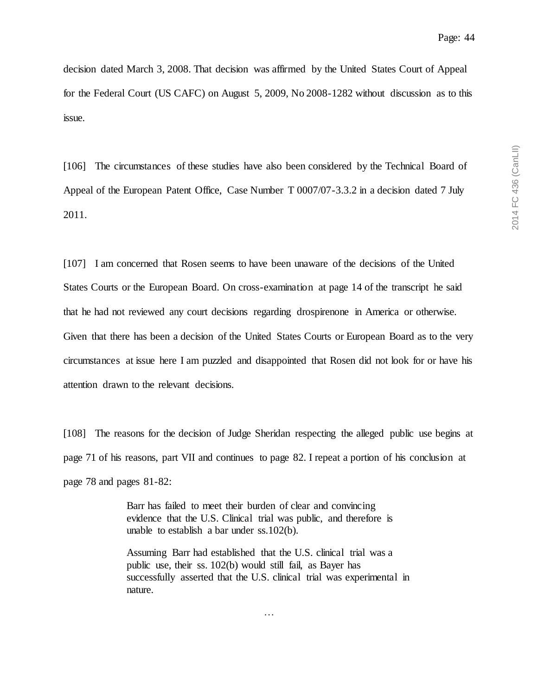decision dated March 3, 2008. That decision was affirmed by the United States Court of Appeal for the Federal Court (US CAFC) on August 5, 2009, No 2008-1282 without discussion as to this issue.

[106] The circumstances of these studies have also been considered by the Technical Board of Appeal of the European Patent Office, Case Number T 0007/07-3.3.2 in a decision dated 7 July 2011.

[107] I am concerned that Rosen seems to have been unaware of the decisions of the United States Courts or the European Board. On cross-examination at page 14 of the transcript he said that he had not reviewed any court decisions regarding drospirenone in America or otherwise. Given that there has been a decision of the United States Courts or European Board as to the very circumstances at issue here I am puzzled and disappointed that Rosen did not look for or have his attention drawn to the relevant decisions.

[108] The reasons for the decision of Judge Sheridan respecting the alleged public use begins at page 71 of his reasons, part VII and continues to page 82. I repeat a portion of his conclusion at page 78 and pages 81-82:

> Barr has failed to meet their burden of clear and convincing evidence that the U.S. Clinical trial was public, and therefore is unable to establish a bar under ss.102(b).

Assuming Barr had established that the U.S. clinical trial was a public use, their ss. 102(b) would still fail, as Bayer has successfully asserted that the U.S. clinical trial was experimental in nature.

…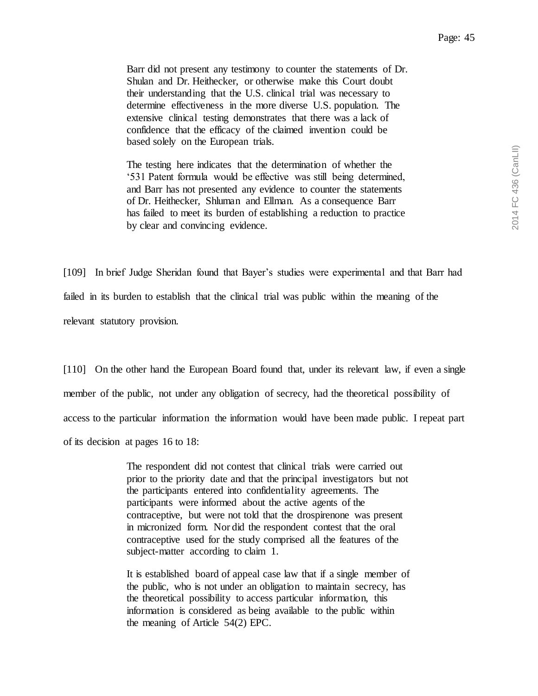Barr did not present any testimony to counter the statements of Dr. Shulan and Dr. Heithecker, or otherwise make this Court doubt their understanding that the U.S. clinical trial was necessary to determine effectiveness in the more diverse U.S. population. The extensive clinical testing demonstrates that there was a lack of confidence that the efficacy of the claimed invention could be based solely on the European trials.

The testing here indicates that the determination of whether the '531 Patent formula would be effective was still being determined, and Barr has not presented any evidence to counter the statements of Dr. Heithecker, Shluman and Ellman. As a consequence Barr has failed to meet its burden of establishing a reduction to practice by clear and convincing evidence.

[109] In brief Judge Sheridan found that Bayer's studies were experimental and that Barr had failed in its burden to establish that the clinical trial was public within the meaning of the relevant statutory provision.

[110] On the other hand the European Board found that, under its relevant law, if even a single member of the public, not under any obligation of secrecy, had the theoretical possibility of access to the particular information the information would have been made public. I repeat part of its decision at pages 16 to 18:

> The respondent did not contest that clinical trials were carried out prior to the priority date and that the principal investigators but not the participants entered into confidentiality agreements. The participants were informed about the active agents of the contraceptive, but were not told that the drospirenone was present in micronized form. Nor did the respondent contest that the oral contraceptive used for the study comprised all the features of the subject-matter according to claim 1.

> It is established board of appeal case law that if a single member of the public, who is not under an obligation to maintain secrecy, has the theoretical possibility to access particular information, this information is considered as being available to the public within the meaning of Article 54(2) EPC.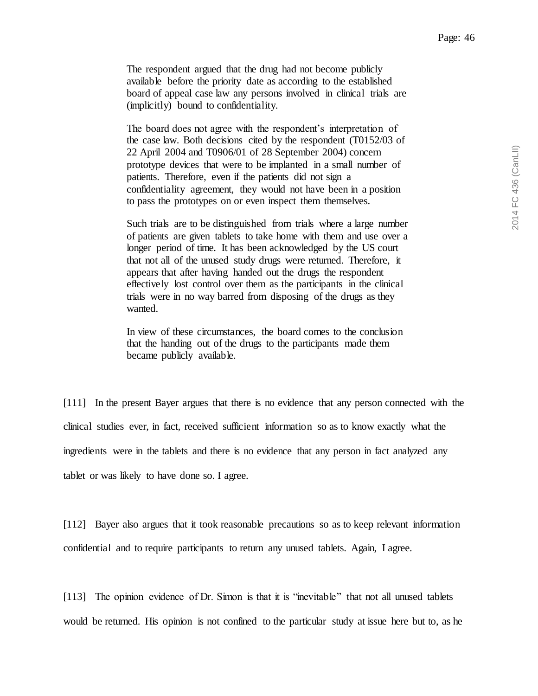The respondent argued that the drug had not become publicly available before the priority date as according to the established board of appeal case law any persons involved in clinical trials are (implicitly) bound to confidentiality.

The board does not agree with the respondent's interpretation of the case law. Both decisions cited by the respondent (T0152/03 of 22 April 2004 and T0906/01 of 28 September 2004) concern prototype devices that were to be implanted in a small number of patients. Therefore, even if the patients did not sign a confidentiality agreement, they would not have been in a position to pass the prototypes on or even inspect them themselves.

Such trials are to be distinguished from trials where a large number of patients are given tablets to take home with them and use over a longer period of time. It has been acknowledged by the US court that not all of the unused study drugs were returned. Therefore, it appears that after having handed out the drugs the respondent effectively lost control over them as the participants in the clinical trials were in no way barred from disposing of the drugs as they wanted.

In view of these circumstances, the board comes to the conclusion that the handing out of the drugs to the participants made them became publicly available.

[111] In the present Bayer argues that there is no evidence that any person connected with the clinical studies ever, in fact, received sufficient information so as to know exactly what the ingredients were in the tablets and there is no evidence that any person in fact analyzed any tablet or was likely to have done so. I agree.

[112] Bayer also argues that it took reasonable precautions so as to keep relevant information confidential and to require participants to return any unused tablets. Again, I agree.

[113] The opinion evidence of Dr. Simon is that it is "inevitable" that not all unused tablets would be returned. His opinion is not confined to the particular study at issue here but to, as he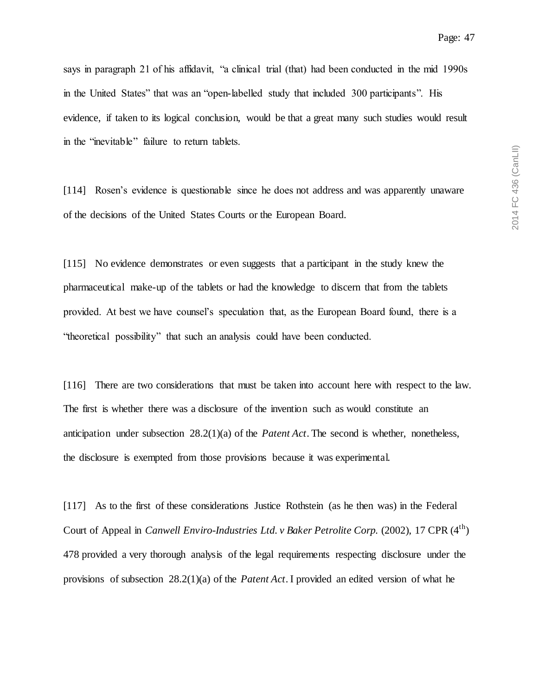says in paragraph 21 of his affidavit, "a clinical trial (that) had been conducted in the mid 1990s in the United States" that was an "open-labelled study that included 300 participants". His evidence, if taken to its logical conclusion, would be that a great many such studies would result in the "inevitable" failure to return tablets.

[114] Rosen's evidence is questionable since he does not address and was apparently unaware of the decisions of the United States Courts or the European Board.

[115] No evidence demonstrates or even suggests that a participant in the study knew the pharmaceutical make-up of the tablets or had the knowledge to discern that from the tablets provided. At best we have counsel's speculation that, as the European Board found, there is a "theoretical possibility" that such an analysis could have been conducted.

[116] There are two considerations that must be taken into account here with respect to the law. The first is whether there was a disclosure of the invention such as would constitute an anticipation under subsection 28.2(1)(a) of the *Patent Act*. The second is whether, nonetheless, the disclosure is exempted from those provisions because it was experimental.

[117] As to the first of these considerations Justice Rothstein (as he then was) in the Federal Court of Appeal in *Canwell Enviro-Industries Ltd. v Baker Petrolite Corp.* (2002), 17 CPR (4<sup>th</sup>) 478 provided a very thorough analysis of the legal requirements respecting disclosure under the provisions of subsection 28.2(1)(a) of the *Patent Act*. I provided an edited version of what he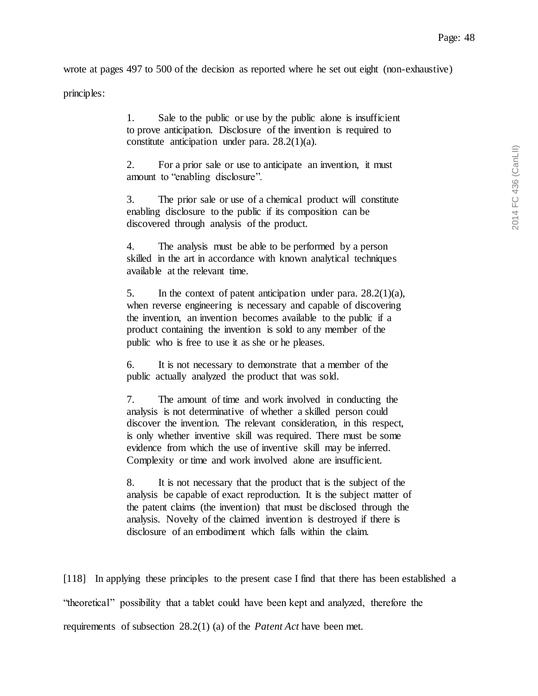wrote at pages 497 to 500 of the decision as reported where he set out eight (non-exhaustive)

principles:

1. Sale to the public or use by the public alone is insufficient to prove anticipation. Disclosure of the invention is required to constitute anticipation under para. 28.2(1)(a).

2. For a prior sale or use to anticipate an invention, it must amount to "enabling disclosure".

3. The prior sale or use of a chemical product will constitute enabling disclosure to the public if its composition can be discovered through analysis of the product.

4. The analysis must be able to be performed by a person skilled in the art in accordance with known analytical techniques available at the relevant time.

5. In the context of patent anticipation under para. 28.2(1)(a), when reverse engineering is necessary and capable of discovering the invention, an invention becomes available to the public if a product containing the invention is sold to any member of the public who is free to use it as she or he pleases.

6. It is not necessary to demonstrate that a member of the public actually analyzed the product that was sold.

7. The amount of time and work involved in conducting the analysis is not determinative of whether a skilled person could discover the invention. The relevant consideration, in this respect, is only whether inventive skill was required. There must be some evidence from which the use of inventive skill may be inferred. Complexity or time and work involved alone are insufficient.

8. It is not necessary that the product that is the subject of the analysis be capable of exact reproduction. It is the subject matter of the patent claims (the invention) that must be disclosed through the analysis. Novelty of the claimed invention is destroyed if there is disclosure of an embodiment which falls within the claim.

[118] In applying these principles to the present case I find that there has been established a "theoretical" possibility that a tablet could have been kept and analyzed, therefore the requirements of subsection 28.2(1) (a) of the *Patent Act* have been met.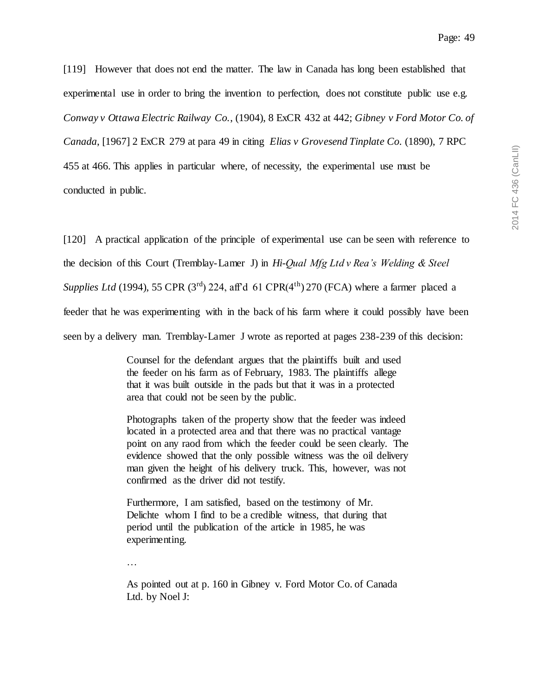[119] However that does not end the matter. The law in Canada has long been established that experimental use in order to bring the invention to perfection, does not constitute public use e.g. *Conway v Ottawa Electric Railway Co.*, (1904), 8 ExCR 432 at 442; *Gibney v Ford Motor Co. of Canada*, [1967] 2 ExCR 279 at para 49 in citing *Elias v Grovesend Tinplate Co.* (1890), 7 RPC 455 at 466. This applies in particular where, of necessity, the experimental use must be conducted in public.

[120] A practical application of the principle of experimental use can be seen with reference to the decision of this Court (Tremblay-Lamer J) in *Hi-Qual Mfg Ltd v Rea's Welding & Steel Supplies Ltd* (1994), 55 CPR ( $3<sup>rd</sup>$ ) 224, aff'd 61 CPR( $4<sup>th</sup>$ ) 270 (FCA) where a farmer placed a feeder that he was experimenting with in the back of his farm where it could possibly have been seen by a delivery man. Tremblay-Lamer J wrote as reported at pages 238-239 of this decision:

> Counsel for the defendant argues that the plaintiffs built and used the feeder on his farm as of February, 1983. The plaintiffs allege that it was built outside in the pads but that it was in a protected area that could not be seen by the public.

Photographs taken of the property show that the feeder was indeed located in a protected area and that there was no practical vantage point on any raod from which the feeder could be seen clearly. The evidence showed that the only possible witness was the oil delivery man given the height of his delivery truck. This, however, was not confirmed as the driver did not testify.

Furthermore, I am satisfied, based on the testimony of Mr. Delichte whom I find to be a credible witness, that during that period until the publication of the article in 1985, he was experimenting.

…

As pointed out at p. 160 in Gibney v. Ford Motor Co. of Canada Ltd. by Noel J: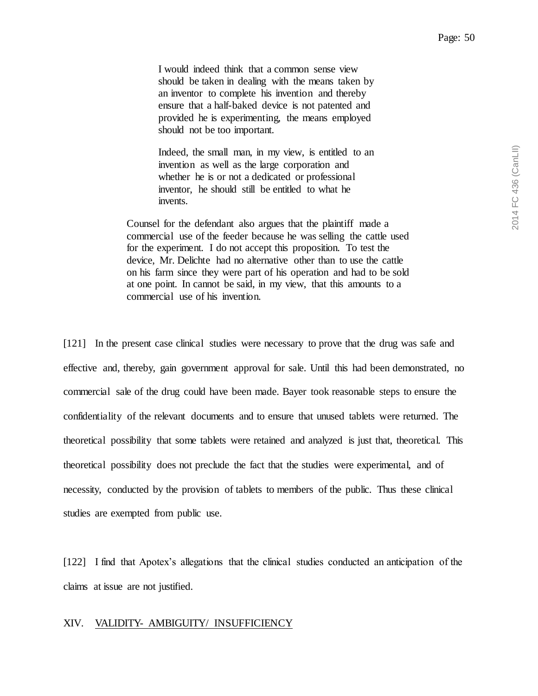I would indeed think that a common sense view should be taken in dealing with the means taken by an inventor to complete his invention and thereby ensure that a half-baked device is not patented and provided he is experimenting, the means employed should not be too important.

Indeed, the small man, in my view, is entitled to an invention as well as the large corporation and whether he is or not a dedicated or professional inventor, he should still be entitled to what he invents.

Counsel for the defendant also argues that the plaintiff made a commercial use of the feeder because he was selling the cattle used for the experiment. I do not accept this proposition. To test the device, Mr. Delichte had no alternative other than to use the cattle on his farm since they were part of his operation and had to be sold at one point. In cannot be said, in my view, that this amounts to a commercial use of his invention.

[121] In the present case clinical studies were necessary to prove that the drug was safe and effective and, thereby, gain government approval for sale. Until this had been demonstrated, no commercial sale of the drug could have been made. Bayer took reasonable steps to ensure the confidentiality of the relevant documents and to ensure that unused tablets were returned. The theoretical possibility that some tablets were retained and analyzed is just that, theoretical. This theoretical possibility does not preclude the fact that the studies were experimental, and of necessity, conducted by the provision of tablets to members of the public. Thus these clinical studies are exempted from public use.

[122] I find that Apotex's allegations that the clinical studies conducted an anticipation of the claims at issue are not justified.

## <span id="page-49-0"></span>XIV. VALIDITY- AMBIGUITY/ INSUFFICIENCY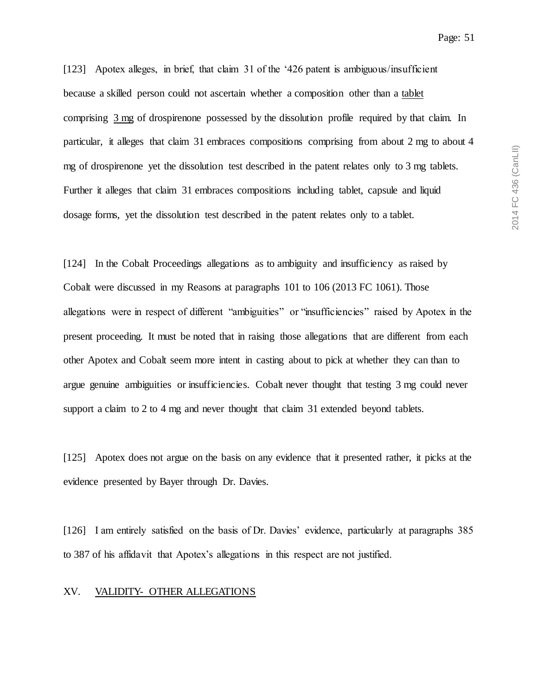[123] Apotex alleges, in brief, that claim 31 of the '426 patent is ambiguous/insufficient because a skilled person could not ascertain whether a composition other than a tablet comprising 3 mg of drospirenone possessed by the dissolution profile required by that claim. In particular, it alleges that claim 31 embraces compositions comprising from about 2 mg to about 4 mg of drospirenone yet the dissolution test described in the patent relates only to 3 mg tablets. Further it alleges that claim 31 embraces compositions including tablet, capsule and liquid dosage forms, yet the dissolution test described in the patent relates only to a tablet.

[124] In the Cobalt Proceedings allegations as to ambiguity and insufficiency as raised by Cobalt were discussed in my Reasons at paragraphs 101 to 106 (2013 FC 1061). Those allegations were in respect of different "ambiguities" or "insufficiencies" raised by Apotex in the present proceeding. It must be noted that in raising those allegations that are different from each other Apotex and Cobalt seem more intent in casting about to pick at whether they can than to argue genuine ambiguities or insufficiencies. Cobalt never thought that testing 3 mg could never support a claim to 2 to 4 mg and never thought that claim 31 extended beyond tablets.

[125] Apotex does not argue on the basis on any evidence that it presented rather, it picks at the evidence presented by Bayer through Dr. Davies.

[126] I am entirely satisfied on the basis of Dr. Davies' evidence, particularly at paragraphs 385 to 387 of his affidavit that Apotex's allegations in this respect are not justified.

## <span id="page-50-0"></span>XV. VALIDITY- OTHER ALLEGATIONS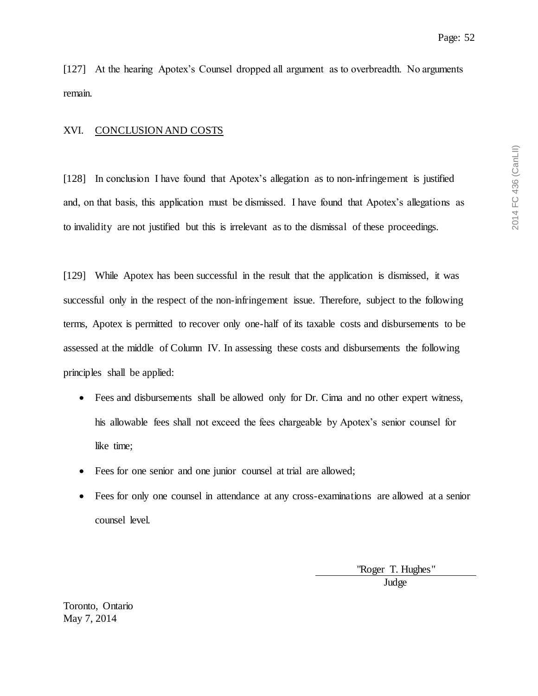[127] At the hearing Apotex's Counsel dropped all argument as to overbreadth. No arguments remain.

## <span id="page-51-0"></span>XVI. CONCLUSION AND COSTS

[128] In conclusion I have found that Apotex's allegation as to non-infringement is justified and, on that basis, this application must be dismissed. I have found that Apotex's allegations as to invalidity are not justified but this is irrelevant as to the dismissal of these proceedings.

[129] While Apotex has been successful in the result that the application is dismissed, it was successful only in the respect of the non-infringement issue. Therefore, subject to the following terms, Apotex is permitted to recover only one-half of its taxable costs and disbursements to be assessed at the middle of Column IV. In assessing these costs and disbursements the following principles shall be applied:

- Fees and disbursements shall be allowed only for Dr. Cima and no other expert witness, his allowable fees shall not exceed the fees chargeable by Apotex's senior counsel for like time;
- Fees for one senior and one junior counsel at trial are allowed;
- Fees for only one counsel in attendance at any cross-examinations are allowed at a senior counsel level.

"Roger T. Hughes"

Judge

Toronto, Ontario May 7, 2014